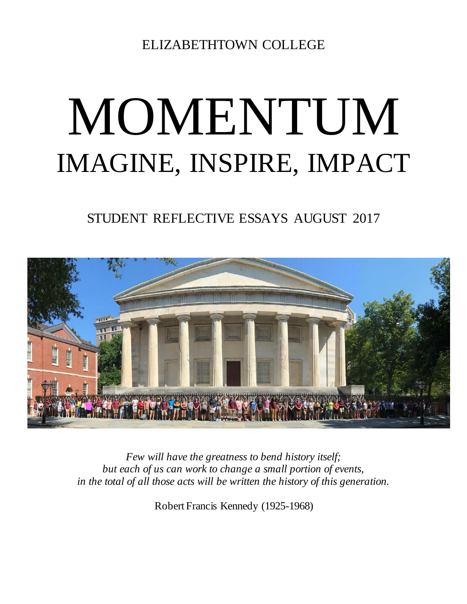ELIZABETHTOWN COLLEGE

## MOMENTUM IMAGINE, INSPIRE, IMPACT

STUDENT REFLECTIVE ESSAYS AUGUST 2017



*Few will have the greatness to bend history itself; but each of us can work to change a small portion of events, in the total of all those acts will be written the history of this generation.*

Robert Francis Kennedy (1925-1968)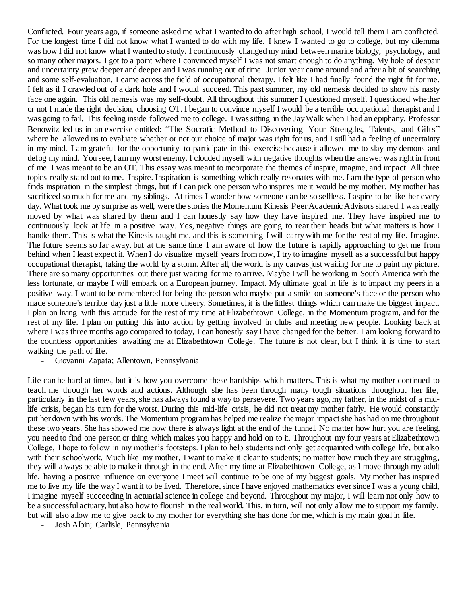Conflicted. Four years ago, if someone asked me what I wanted to do after high school, I would tell them I am conflicted. For the longest time I did not know what I wanted to do with my life. I knew I wanted to go to college, but my dilemma was how I did not know what I wanted to study. I continuously changed my mind between marine biology, psychology, and so many other majors. I got to a point where I convinced myself I was not smart enough to do anything. My hole of despair and uncertainty grew deeper and deeper and I was running out of time. Junior year came around and after a bit of searching and some self-evaluation, I came across the field of occupational therapy. I felt like I had finally found the right fit for me. I felt as if I crawled out of a dark hole and I would succeed. This pastsummer, my old nemesis decided to show his nasty face one again. This old nemesis was my self-doubt. All throughout this summer I questioned myself. I questioned whether or not I made the right decision, choosing OT. I began to convince myself I would be a terrible occupational therapist and I was going to fail. This feeling inside followed me to college. I wassitting in the JayWalk when I had an epiphany. Professor Benowitz led us in an exercise entitled: "The Socratic Method to Discovering Your Strengths, Talents, and Gifts" where he allowed us to evaluate whether or not our choice of major was right for us, and I still had a feeling of uncertainty in my mind. I am grateful for the opportunity to participate in this exercise because it allowed me to slay my demons and defog my mind. You see,I ammy worst enemy. I clouded myself with negative thoughts when the answer was right in front of me. I was meant to be an OT. This essay was meant to incorporate the themes of inspire, imagine, and impact. All three topics really stand out to me. Inspire. Inspiration is something which really resonates with me. I am the type of person who finds inspiration in the simplest things, but if I can pick one person who inspires me it would be my mother. My mother has sacrificed so much for me and my siblings. At times I wonder how someone can be so selfless. I aspire to be like her every day. What took me by surprise as well, were the stories the Momentum Kinesis Peer Academic Advisors shared. I was really moved by what was shared by them and I can honestly say how they have inspired me. They have inspired me to continuously look at life in a positive way. Yes, negative things are going to rear their heads but what matters is how I handle them. This is what the Kinesis taught me, and this is something I will carry with me for the rest of my life. Imagine. The future seems so far away, but at the same time I am aware of how the future is rapidly approaching to get me from behind when I least expect it. When I do visualize myself years from now, I try to imagine myself as a successful but happy occupational therapist, taking the world by a storm. After all, the world is my canvas just waiting for me to paint my picture. There are so many opportunities out there just waiting for me to arrive. Maybe I will be working in South America with the less fortunate, or maybe I will embark on a European journey. Impact. My ultimate goal in life is to impact my peers in a positive way. I want to be remembered for being the person who maybe put a smile on someone's face or the person who made someone's terrible day just a little more cheery. Sometimes, it is the littlest things which can make the biggest impact. I plan on living with this attitude for the rest of my time at Elizabethtown College, in the Momentum program, and for the rest of my life. I plan on putting this into action by getting involved in clubs and meeting new people. Looking back at where I was three months ago compared to today, I can honestly say I have changed for the better. I am looking forward to the countless opportunities awaiting me at Elizabethtown College. The future is not clear, but I think it is time to start walking the path of life.

- Giovanni Zapata; Allentown, Pennsylvania

Life can be hard at times, but it is how you overcome these hardships which matters. This is what my mother continued to teach me through her words and actions. Although she has been through many tough situations throughout her life, particularly in the last few years, she has always found a way to persevere. Two years ago, my father, in the midst of a midlife crisis, began his turn for the worst. During this mid-life crisis, he did not treat my mother fairly. He would constantly put her down with his words. The Momentum program has helped me realize the major impact she has had on me throughout these two years. She has showed me how there is always light at the end of the tunnel. No matter how hurt you are feeling, you need to find one person or thing which makes you happy and hold on to it. Throughout my four years at Elizabethtown College, I hope to follow in my mother's footsteps. I plan to help students not only get acquainted with college life, but also with their schoolwork. Much like my mother, I want to make it clear to students; no matter how much they are struggling, they will always be able to make it through in the end. After my time at Elizabethtown College, as I move through my adult life, having a positive influence on everyone I meet will continue to be one of my biggest goals. My mother has inspired me to live my life the way I want it to be lived. Therefore, since I have enjoyed mathematics ever since I was a young child, I imagine myself succeeding in actuarial science in college and beyond. Throughout my major, I will learn not only how to be a successful actuary, but also how to flourish in the real world. This, in turn, will not only allow me to support my family, but will also allow me to give back to my mother for everything she has done for me, which is my main goal in life.

- Josh Albin; Carlisle, Pennsylvania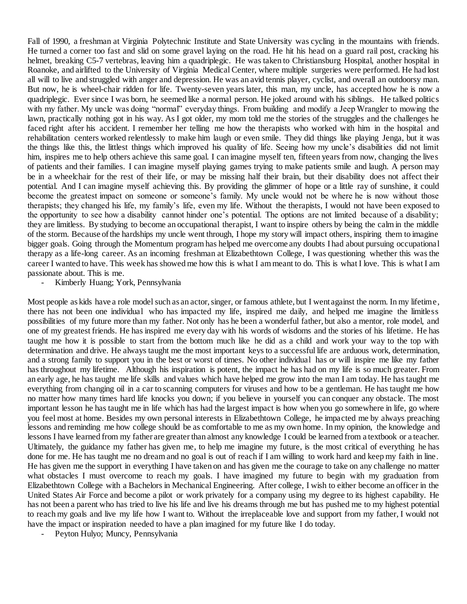Fall of 1990, a freshman at Virginia Polytechnic Institute and State University was cycling in the mountains with friends. He turned a corner too fast and slid on some gravel laying on the road. He hit his head on a guard rail post, cracking his helmet, breaking C5-7 vertebras, leaving him a quadriplegic. He was taken to Christiansburg Hospital, another hospital in Roanoke, and airlifted to the University of Virginia Medical Center, where multiple surgeries were performed. He had lost all will to live and struggled with anger and depression. He was an avid tennis player, cyclist, and overall an outdoorsy man. But now, he is wheel-chair ridden for life. Twenty-seven years later, this man, my uncle, has accepted how he is now a quadriplegic. Ever since I was born, he seemed like a normal person. He joked around with his siblings. He talked politics with my father. My uncle was doing "normal" everyday things. From building and modify a Jeep Wrangler to mowing the lawn, practically nothing got in his way. As I got older, my mom told me the stories of the struggles and the challenges he faced right after his accident. I remember her telling me how the therapists who worked with him in the hospital and rehabilitation centers worked relentlessly to make him laugh or even smile. They did things like playing Jenga, but it was the things like this, the littlest things which improved his quality of life. Seeing how my uncle's disabilities did not limit him, inspires me to help others achieve this same goal. I can imagine myself ten, fifteen years from now, changing the lives of patients and their families. I can imagine myself playing games trying to make patients smile and laugh. A person may be in a wheelchair for the rest of their life, or may be missing half their brain, but their disability does not affect their potential. And I can imagine myself achieving this. By providing the glimmer of hope or a little ray of sunshine, it could become the greatest impact on someone or someone's family. My uncle would not be where he is now without those therapists; they changed his life, my family's life, even my life. Without the therapists, I would not have been exposed to the opportunity to see how a disability cannot hinder one's potential. The options are not limited because of a disability; they are limitless. By studying to become an occupational therapist, I want to inspire others by being the calm in the middle of the storm. Because of the hardships my uncle went through, I hope my story will impact others, inspiring them to imagine bigger goals. Going through the Momentum program has helped me overcome any doubts I had about pursuing occupational therapy as a life-long career. As an incoming freshman at Elizabethtown College, I was questioning whether this was the career I wanted to have. This week has showed me how this is what I am meant to do. This is what I love. This is what I am passionate about. This is me.

- Kimberly Huang; York, Pennsylvania

Most people as kids have a role model such as an actor, singer, or famous athlete, but I went against the norm. In my lifetime, there has not been one individual who has impacted my life, inspired me daily, and helped me imagine the limitless possibilities of my future more than my father. Not only has he been a wonderful father, but also a mentor, role model, and one of my greatest friends. He has inspired me every day with his words of wisdoms and the stories of his lifetime. He has taught me how it is possible to start from the bottom much like he did as a child and work your way to the top with determination and drive. He always taught me the most important keys to a successful life are arduous work, determination, and a strong family to support you in the best or worst of times. No other individual has or will inspire me like my father has throughout my lifetime. Although his inspiration is potent, the impact he has had on my life is so much greater. From an early age, he has taught me life skills and values which have helped me grow into the man I am today. He has taught me everything from changing oil in a car to scanning computers for viruses and how to be a gentleman. He has taught me how no matter how many times hard life knocks you down; if you believe in yourself you can conquer any obstacle. The most important lesson he has taught me in life which has had the largest impact is how when you go somewhere in life, go where you feel most at home. Besides my own personal interests in Elizabethtown College, he impacted me by always preaching lessons and reminding me how college should be as comfortable to me as my own home. In my opinion, the knowledge and lessons I have learned from my father are greater than almost any knowledge I could be learned from a textbook or a teacher. Ultimately, the guidance my father has given me, to help me imagine my future, is the most critical of everything he has done for me. He has taught me no dream and no goal is out of reach if I am willing to work hard and keep my faith in line. He has given me the support in everything I have taken on and has given me the courage to take on any challenge no matter what obstacles I must overcome to reach my goals. I have imagined my future to begin with my graduation from Elizabethtown College with a Bachelors in Mechanical Engineering. After college, I wish to either become an officer in the United States Air Force and become a pilot or work privately for a company using my degree to its highest capability. He has not been a parent who has tried to live his life and live his dreams through me but has pushed me to my highest potential to reach my goals and live my life how I want to. Without the irreplaceable love and support from my father, I would not have the impact or inspiration needed to have a plan imagined for my future like I do today.

- Peyton Hulyo; Muncy, Pennsylvania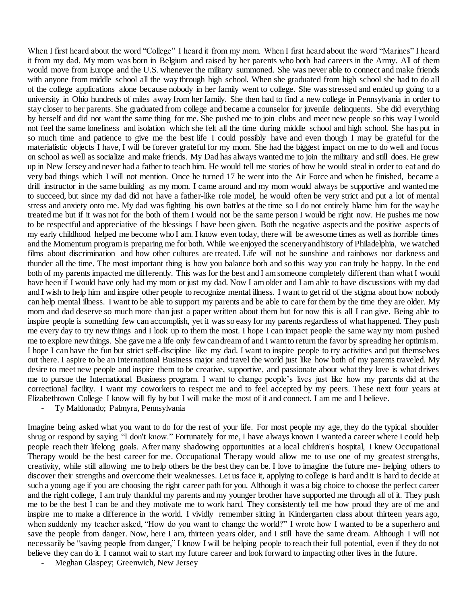When I first heard about the word "College" I heard it from my mom. When I first heard about the word "Marines" I heard it from my dad. My mom was born in Belgium and raised by her parents who both had careers in the Army. All of them would move from Europe and the U.S. whenever the military summoned. She was never able to connect and make friends with anyone from middle school all the way through high school. When she graduated from high school she had to do all of the college applications alone because nobody in her family went to college. She was stressed and ended up going to a university in Ohio hundreds of miles away from her family. She then had to find a new college in Pennsylvania in order to stay closer to her parents. She graduated from college and became a counselor for juvenile delinquents. She did everything by herself and did not want the same thing for me. She pushed me to join clubs and meet new people so this way I would not feel the same loneliness and isolation which she felt all the time during middle school and high school. She has put in so much time and patience to give me the best life I could possibly have and even though I may be grateful for the materialistic objects I have, I will be forever grateful for my mom. She had the biggest impact on me to do well and focus on school as well as socialize and make friends. My Dad has always wanted me to join the military and still does. He grew up in New Jersey and never had a father to teach him. He would tell me stories of how he would steal in order to eat and do very bad things which I will not mention. Once he turned 17 he went into the Air Force and when he finished, became a drill instructor in the same building as my mom. I came around and my mom would always be supportive and wanted me to succeed, but since my dad did not have a father-like role model, he would often be very strict and put a lot of mental stress and anxiety onto me. My dad was fighting his own battles at the time so I do not entirely blame him for the way he treated me but if it was not for the both of them I would not be the same person I would be right now. He pushes me now to be respectful and appreciative of the blessings I have been given. Both the negative aspects and the positive aspects of my early childhood helped me become who I am. I know even today, there will be awesome times as well as horrible times and the Momentum program is preparing me for both. While we enjoyed the scenery and history of Philadelphia, we watched films about discrimination and how other cultures are treated. Life will not be sunshine and rainbows nor darkness and thunder all the time. The most important thing is how you balance both and so this way you can truly be happy. In the end both of my parents impacted me differently. This was for the best and I am someone completely different than what I would have been if I would have only had my mom or just my dad. Now I am older and I am able to have discussions with my dad and I wish to help him and inspire other people to recognize mental illness. I want to get rid of the stigma about how nobody can help mental illness. I want to be able to support my parents and be able to care for them by the time they are older. My mom and dad deserve so much more than just a paper written about them but for now this is all I can give. Being able to inspire people is something few can accomplish, yet it was so easy for my parents regardless of what happened. They push me every day to try new things and I look up to them the most. I hope I can impact people the same way my mom pushed me to explore new things. She gave me a life only few can dream of and I want to return the favor by spreading her optimism. I hope I can have the fun but strict self-discipline like my dad. I want to inspire people to try activities and put themselves out there. I aspire to be an International Business major and travel the world just like how both of my parents traveled. My desire to meet new people and inspire them to be creative, supportive, and passionate about what they love is what drives me to pursue the International Business program. I want to change people's lives just like how my parents did at the correctional facility. I want my coworkers to respect me and to feel accepted by my peers. These next four years at Elizabethtown College I know will fly by but I will make the most of it and connect. I am me and I believe.

Ty Maldonado; Palmyra, Pennsylvania

Imagine being asked what you want to do for the rest of your life. For most people my age, they do the typical shoulder shrug or respond by saying "I don't know." Fortunately for me, I have always known I wanted a career where I could help people reach their lifelong goals. After many shadowing opportunities at a local children's hospital, I knew Occupational Therapy would be the best career for me. Occupational Therapy would allow me to use one of my greatest strengths, creativity, while still allowing me to help others be the best they can be. I love to imagine the future me- helping others to discover their strengths and overcome their weaknesses. Let us face it, applying to college is hard and it is hard to decide at such a young age if you are choosing the right career path for you. Although it was a big choice to choose the perfect career and the right college, I am truly thankful my parents and my younger brother have supported me through all of it. They push me to be the best I can be and they motivate me to work hard. They consistently tell me how proud they are of me and inspire me to make a difference in the world. I vividly remember sitting in Kindergarten class about thirteen years ago, when suddenly my teacher asked, "How do you want to change the world?" I wrote how I wanted to be a superhero and save the people from danger. Now, here I am, thirteen years older, and I still have the same dream. Although I will not necessarily be "saving people from danger," I know I will be helping people to reach their full potential, even if they do not believe they can do it. I cannot wait to start my future career and look forward to impacting other lives in the future.

- Meghan Glaspey; Greenwich, New Jersey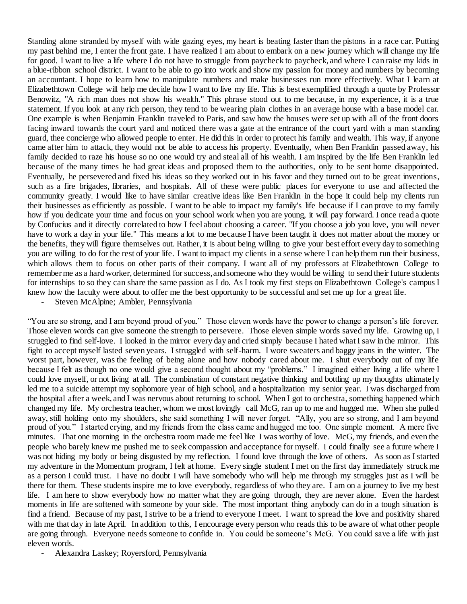Standing alone stranded by myself with wide gazing eyes, my heart is beating faster than the pistons in a race car. Putting my past behind me, I enter the front gate. I have realized I am about to embark on a new journey which will change my life for good. I want to live a life where I do not have to struggle from paycheck to paycheck, and where I can raise my kids in a blue-ribbon school district. I want to be able to go into work and show my passion for money and numbers by becoming an accountant. I hope to learn how to manipulate numbers and make businesses run more effectively. What I learn at Elizabethtown College will help me decide how I want to live my life. This is best exemplified through a quote by Professor Benowitz, "A rich man does not show his wealth." This phrase stood out to me because, in my experience, it is a true statement. If you look at any rich person, they tend to be wearing plain clothes in an average house with a base model car. One example is when Benjamin Franklin traveled to Paris, and saw how the houses were set up with all of the front doors facing inward towards the court yard and noticed there was a gate at the entrance of the court yard with a man standing guard, thee concierge who allowed people to enter. He did this in order to protect his family and wealth. This way, if anyone came after him to attack, they would not be able to access his property. Eventually, when Ben Franklin passed away, his family decided to raze his house so no one would try and steal all of his wealth. I am inspired by the life Ben Franklin led because of the many times he had great ideas and proposed them to the authorities, only to be sent home disappointed. Eventually, he persevered and fixed his ideas so they worked out in his favor and they turned out to be great inventions, such as a fire brigades, libraries, and hospitals. All of these were public places for everyone to use and affected the community greatly. I would like to have similar creative ideas like Ben Franklin in the hope it could help my clients run their businesses as efficiently as possible. I want to be able to impact my family's life because if I can prove to my family how if you dedicate your time and focus on your school work when you are young, it will pay forward. I once read a quote by Confucius and it directly correlated to how I feel about choosing a career. "If you choose a job you love, you will never have to work a day in your life." This means a lot to me because I have been taught it does not matter about the money or the benefits, they will figure themselves out. Rather, it is about being willing to give your best effort every day to something you are willing to do for the rest of your life. I want to impact my clients in a sense where I can help them run their business, which allows them to focus on other parts of their company. I want all of my professors at Elizabethtown College to remember me as a hard worker, determined for success, and someone who they would be willing to send their future students for internships to so they can share the same passion as I do. As I took my first steps on Elizabethtown College's campus I knew how the faculty were about to offer me the best opportunity to be successful and set me up for a great life.

Steven McAlpine; Ambler, Pennsylvania

"You are so strong, and I am beyond proud of you." Those eleven words have the power to change a person's life forever. Those eleven words can give someone the strength to persevere. Those eleven simple words saved my life. Growing up, I struggled to find self-love. I looked in the mirror every day and cried simply because I hated what I saw in the mirror. This fight to accept myself lasted seven years. I struggled with self-harm. I wore sweaters and baggy jeans in the winter. The worst part, however, was the feeling of being alone and how nobody cared about me. I shut everybody out of my life because I felt as though no one would give a second thought about my "problems." I imagined either living a life where I could love myself, or not living at all. The combination of constant negative thinking and bottling up my thoughts ultimately led me to a suicide attempt my sophomore year of high school, and a hospitalization my senior year. I was discharged from the hospital after a week, and I was nervous about returning to school. When I got to orchestra, something happened which changed my life. My orchestra teacher, whom we most lovingly call McG, ran up to me and hugged me. When she pulled away, still holding onto my shoulders, she said something I will never forget. "Ally, you are so strong, and I am beyond proud of you." I started crying, and my friends from the class came and hugged me too. One simple moment. A mere five minutes. That one morning in the orchestra room made me feel like I was worthy of love. McG, my friends, and even the people who barely knew me pushed me to seek compassion and acceptance for myself. I could finally see a future where I was not hiding my body or being disgusted by my reflection. I found love through the love of others. As soon as I started my adventure in the Momentum program, I felt at home. Every single student I met on the first day immediately struck me as a person I could trust. I have no doubt I will have somebody who will help me through my struggles just as I will be there for them. These students inspire me to love everybody, regardless of who they are. I am on a journey to live my best life. I am here to show everybody how no matter what they are going through, they are never alone. Even the hardest moments in life are softened with someone by your side. The most important thing anybody can do in a tough situation is find a friend. Because of my past, I strive to be a friend to everyone I meet. I want to spread the love and positivity shared with me that day in late April. In addition to this, I encourage every person who reads this to be aware of what other people are going through. Everyone needs someone to confide in. You could be someone's McG. You could save a life with just eleven words.

- Alexandra Laskey; Royersford, Pennsylvania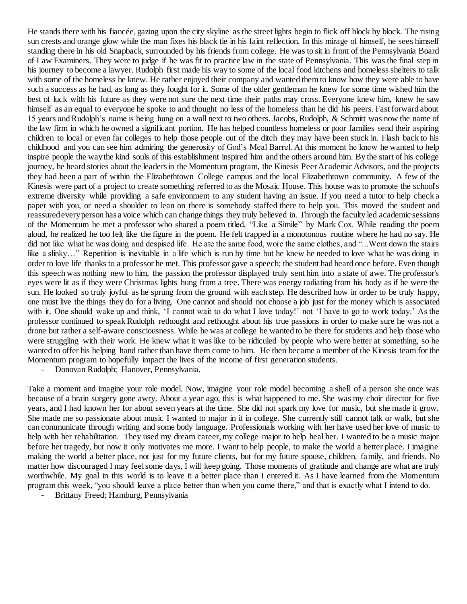He stands there with his fiancée, gazing upon the city skyline as the street lights begin to flick off block by block. The rising sun crests and orange glow while the man fixes his black tie in his faint reflection. In this mirage of himself, he sees himself standing there in his old Snapback, surrounded by his friends from college. He was to sit in front of the Pennsylvania Board of Law Examiners. They were to judge if he was fit to practice law in the state of Pennsylvania. This was the final step in his journey to become a lawyer. Rudolph first made his way to some of the local food kitchens and homeless shelters to talk with some of the homeless he knew. He rather enjoyed their company and wanted them to know how they were able to have such a success as he had, as long as they fought for it. Some of the older gentleman he knew for some time wished him the best of luck with his future as they were not sure the next time their paths may cross. Everyone knew him, knew he saw himself as an equal to everyone he spoke to and thought no less of the homeless than he did his peers. Fast forward about 15 years and Rudolph's name is being hung on a wall next to two others. Jacobs, Rudolph, & Schmitt was now the name of the law firm in which he owned a significant portion. He has helped countless homeless or poor families send their aspiring children to local or even far colleges to help those people out of the ditch they may have been stuck in. Flash back to his childhood and you can see him admiring the generosity of God's Meal Barrel. At this moment he knew he wanted to help inspire people the way the kind souls of this establishment inspired him and the others around him. By the start of his college journey, he heard stories about the leadersin the Momentum program, the Kinesis Peer Academic Advisors, and the projects they had been a part of within the Elizabethtown College campus and the local Elizabethtown community. A few of the Kinesis were part of a project to create something referred to as the Mosaic House. This house was to promote the school's extreme diversity while providing a safe environment to any student having an issue. If you need a tutor to help check a paper with you, or need a shoulder to lean on there is somebody staffed there to help you. This moved the student and reassured every person has a voice which can change things they truly believed in. Through the faculty led academic sessions of the Momentum he met a professor who shared a poem titled, "Like a Simile" by Mark Cox. While reading the poem aloud, he realized he too felt like the figure in the poem. He felt trapped in a monotonous routine where he had no say. He did not like what he was doing and despised life. He ate the same food, wore the same clothes, and "...Went down the stairs like a slinky…" Repetition is inevitable in a life which is run by time but he knew he needed to love what he was doing in order to love life thanks to a professor he met. This professor gave a speech; the student had heard once before. Even though this speech was nothing new to him, the passion the professor displayed truly sent him into a state of awe. The professor's eyes were lit as if they were Christmas lights hung from a tree. There was energy radiating from his body as if he were the sun. He looked so truly joyful as he sprung from the ground with each step. He described how in order to be truly happy, one must live the things they do for a living. One cannot and should not choose a job just for the money which is associated with it. One should wake up and think, 'I cannot wait to do what I love today!' not 'I have to go to work today.' As the professor continued to speak Rudolph rethought and rethought about his true passions in order to make sure he was not a drone but rather a self-aware consciousness. While he was at college he wanted to be there for students and help those who were struggling with their work. He knew what it was like to be ridiculed by people who were better at something, so he wanted to offer his helping hand rather than have them come to him. He then became a member of the Kinesis team for the Momentum program to hopefully impact the lives of the income of first generation students.

- Donovan Rudolph; Hanover, Pennsylvania.

Take a moment and imagine your role model. Now, imagine your role model becoming a shell of a person she once was because of a brain surgery gone awry. About a year ago, this is what happened to me. She was my choir director for five years, and I had known her for about seven years at the time. She did not spark my love for music, but she made it grow. She made me so passionate about music I wanted to major in it in college. She currently still cannot talk or walk, but she can communicate through writing and some body language. Professionals working with her have used her love of music to help with her rehabilitation. They used my dream career, my college major to help heal her. I wanted to be a music major before her tragedy, but now it only motivates me more. I want to help people, to make the world a better place. I imagine making the world a better place, not just for my future clients, but for my future spouse, children, family, and friends. No matter how discouraged I may feel some days, I will keep going. Those moments of gratitude and change are what are truly worthwhile. My goal in this world is to leave it a better place than I entered it. As I have learned from the Momentum program this week, "you should leave a place better than when you came there," and that is exactly what I intend to do.

- Brittany Freed; Hamburg, Pennsylvania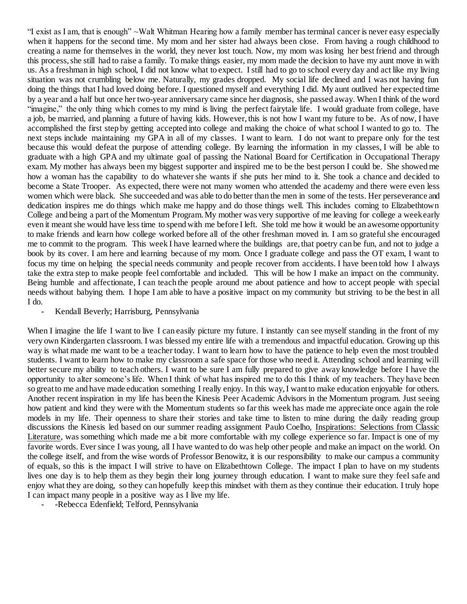"I exist as I am, that is enough" ~Walt Whitman Hearing how a family member has terminal cancer is never easy especially when it happens for the second time. My mom and her sister had always been close. From having a rough childhood to creating a name for themselves in the world, they never lost touch. Now, my mom was losing her best friend and through this process, she still had to raise a family. To make things easier, my mom made the decision to have my aunt move in with us. As a freshman in high school, I did not know what to expect. I still had to go to school every day and act like my living situation was not crumbling below me. Naturally, my grades dropped. My social life declined and I was not having fun doing the things that I had loved doing before. I questioned myself and everything I did. My aunt outlived her expected time by a year and a half but once her two-year anniversary came since her diagnosis, she passed away. When I think of the word "imagine," the only thing which comes to my mind is living the perfect fairytale life. I would graduate from college, have a job, be married, and planning a future of having kids. However, this is not how I want my future to be. As of now, I have accomplished the first step by getting accepted into college and making the choice of what school I wanted to go to. The next steps include maintaining my GPA in all of my classes. I want to learn. I do not want to prepare only for the test because this would defeat the purpose of attending college. By learning the information in my classes, I will be able to graduate with a high GPA and my ultimate goal of passing the National Board for Certification in Occupational Therapy exam. My mother has always been my biggest supporter and inspired me to be the best person I could be. She showed me how a woman has the capability to do whatever she wants if she puts her mind to it. She took a chance and decided to become a State Trooper. As expected, there were not many women who attended the academy and there were even less women which were black. She succeeded and was able to do better than the men in some of the tests. Her perseverance and dedication inspires me do things which make me happy and do those things well. This includes coming to Elizabethtown College and being a part of the Momentum Program. My mother was very supportive of me leaving for college a week early even it meant she would have less time to spend with me before I left. She told me how it would be an awesome opportunity to make friends and learn how college worked before all of the other freshman moved in. I am so grateful she encouraged me to commit to the program. This week I have learned where the buildings are, that poetry can be fun, and not to judge a book by its cover. I am here and learning because of my mom. Once I graduate college and pass the OT exam, I want to focus my time on helping the special needs community and people recover from accidents. I have been told how I always take the extra step to make people feel comfortable and included. This will be how I make an impact on the community. Being humble and affectionate, I can teach the people around me about patience and how to accept people with special needs without babying them. I hope I am able to have a positive impact on my community but striving to be the best in all I do.

## - Kendall Beverly; Harrisburg, Pennsylvania

When I imagine the life I want to live I can easily picture my future. I instantly can see myself standing in the front of my very own Kindergarten classroom. I was blessed my entire life with a tremendous and impactful education. Growing up this way is what made me want to be a teacher today. I want to learn how to have the patience to help even the most troubled students. I want to learn how to make my classroom a safe space for those who need it. Attending school and learning will better secure my ability to teach others. I want to be sure I am fully prepared to give away knowledge before I have the opportunity to alter someone's life. When I think of what has inspired me to do this I think of my teachers. They have been so great to me and have made education something I really enjoy. In this way, I want to make education enjoyable for others. Another recent inspiration in my life has been the Kinesis Peer Academic Advisors in the Momentum program. Just seeing how patient and kind they were with the Momentum students so far this week has made me appreciate once again the role models in my life. Their openness to share their stories and take time to listen to mine during the daily reading group discussions the Kinesis led based on our summer reading assignment Paulo Coelho, Inspirations: Selections from Classic Literature, was something which made me a bit more comfortable with my college experience so far. Impact is one of my favorite words. Ever since I was young, all I have wanted to do was help other people and make an impact on the world. On the college itself, and from the wise words of Professor Benowitz, it is our responsibility to make our campus a community of equals, so this is the impact I will strive to have on Elizabethtown College. The impact I plan to have on my students lives one day is to help them as they begin their long journey through education. I want to make sure they feel safe and enjoy what they are doing, so they can hopefully keep this mindset with them as they continue their education. I truly hope I can impact many people in a positive way as I live my life.

-Rebecca Edenfield; Telford, Pennsylvania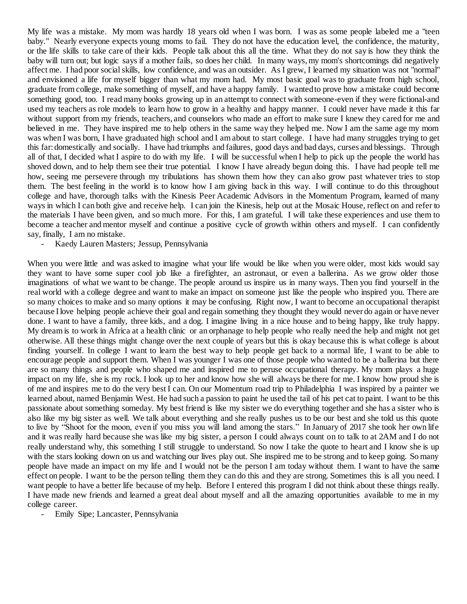My life was a mistake. My mom was hardly 18 years old when I was born. I was as some people labeled me a "teen baby." Nearly everyone expects young moms to fail. They do not have the education level, the confidence, the maturity, or the life skills to take care of their kids. People talk about this all the time. What they do not say is how they think the baby will turn out; but logic says if a mother fails, so does her child. In many ways, my mom's shortcomings did negatively affect me. I had poor social skills, low confidence, and was an outsider. As I grew, I learned my situation was not "normal" and envisioned a life for myself bigger than what my mom had. My most basic goal was to graduate from high school, graduate from college, make something of myself, and have a happy family. I wanted to prove how a mistake could become something good, too. I read many books growing up in an attempt to connect with someone-even if they were fictional-and used my teachers as role models to learn how to grow in a healthy and happy manner. I could never have made it this far without support from my friends, teachers, and counselors who made an effort to make sure I knew they cared for me and believed in me. They have inspired me to help others in the same way they helped me. Now I am the same age my mom was when I was born, I have graduated high school and I am about to start college. I have had many struggles trying to get this far: domestically and socially. I have had triumphs and failures, good days and bad days, curses and blessings. Through all of that, I decided what I aspire to do with my life. I will be successful when I help to pick up the people the world has shoved down, and to help them see their true potential. I know I have already begun doing this. I have had people tell me how, seeing me persevere through my tribulations has shown them how they can also grow past whatever tries to stop them. The best feeling in the world is to know how I am giving back in this way. I will continue to do this throughout college and have, thorough talks with the Kinesis Peer Academic Advisors in the Momentum Program, learned of many ways in which I can both give and receive help. I can join the Kinesis, help out at the Mosaic House, reflect on and refer to the materials I have been given, and so much more. For this, I am grateful. I will take these experiences and use them to become a teacher and mentor myself and continue a positive cycle of growth within others and myself. I can confidently say, finally, I am no mistake.

- Kaedy Lauren Masters; Jessup, Pennsylvania

When you were little and was asked to imagine what your life would be like when you were older, most kids would say they want to have some super cool job like a firefighter, an astronaut, or even a ballerina. As we grow older those imaginations of what we want to be change. The people around us inspire us in many ways. Then you find yourself in the real world with a college degree and want to make an impact on someone just like the people who inspired you. There are so many choices to make and so many options it may be confusing. Right now, I want to become an occupational therapist because I love helping people achieve their goal and regain something they thought they would never do again or have never done. I want to have a family, three kids, and a dog. I imagine living in a nice house and to being happy, like truly happy. My dream is to work in Africa at a health clinic or an orphanage to help people who really need the help and might not get otherwise. All these things might change over the next couple of years but this is okay because this is what college is about finding yourself. In college I want to learn the best way to help people get back to a normal life, I want to be able to encourage people and support them. When I was younger I was one of those people who wanted to be a ballerina but there are so many things and people who shaped me and inspired me to peruse occupational therapy. My mom plays a huge impact on my life, she is my rock. I look up to her and know how she will always be there for me. I know how proud she is of me and inspires me to do the very best I can. On our Momentum road trip to Philadelphia I was inspired by a painter we learned about, named Benjamin West. He had such a passion to paint he used the tail of his pet cat to paint. I want to be this passionate about something someday. My best friend is like my sister we do everything together and she has a sister who is also like my big sister as well. We talk about everything and she really pushes us to be our best and she told us this quote to live by "Shoot for the moon, even if you miss you will land among the stars." In January of 2017 she took her own life and it was really hard because she was like my big sister, a person I could always count on to talk to at 2AM and I do not really understand why, this something I still struggle to understand. So now I take the quote to heart and I know she is up with the stars looking down on us and watching our lives play out. She inspired me to be strong and to keep going. So many people have made an impact on my life and I would not be the person I am today without them. I want to have the same effect on people. I want to be the person telling them they can do this and they are strong. Sometimes this is all you need. I want people to have a better life because of my help. Before I entered this program I did not think about these things really. I have made new friends and learned a great deal about myself and all the amazing opportunities available to me in my college career.

Emily Sipe; Lancaster, Pennsylvania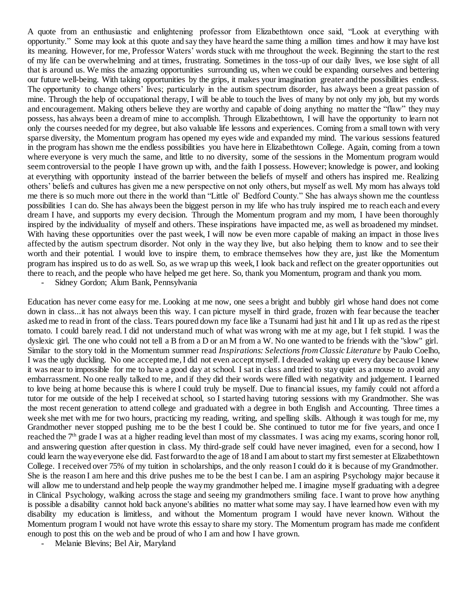A quote from an enthusiastic and enlightening professor from Elizabethtown once said, "Look at everything with opportunity." Some may look at this quote and say they have heard the same thing a million times and how it may have lost its meaning. However, for me, Professor Waters' words stuck with me throughout the week. Beginning the start to the rest of my life can be overwhelming and at times, frustrating. Sometimes in the toss-up of our daily lives, we lose sight of all that is around us. We miss the amazing opportunities surrounding us, when we could be expanding ourselves and bettering our future well-being. With taking opportunities by the grips, it makes your imagination greater and the possibilities endless. The opportunity to change others' lives; particularly in the autism spectrum disorder, has always been a great passion of mine. Through the help of occupational therapy, I will be able to touch the lives of many by not only my job, but my words and encouragement. Making others believe they are worthy and capable of doing anything no matter the "flaw" they may possess, has always been a dream of mine to accomplish. Through Elizabethtown, I will have the opportunity to learn not only the courses needed for my degree, but also valuable life lessons and experiences. Coming from a small town with very sparse diversity, the Momentum program has opened my eyes wide and expanded my mind. The various sessions featured in the program has shown me the endless possibilities you have here in Elizabethtown College. Again, coming from a town where everyone is very much the same, and little to no diversity, some of the sessions in the Momentum program would seem controversial to the people I have grown up with, and the faith I possess. However; knowledge is power, and looking at everything with opportunity instead of the barrier between the beliefs of myself and others has inspired me. Realizing others' beliefs and cultures has given me a new perspective on not only others, but myself as well. My mom has always told me there is so much more out there in the world than "Little ol' Bedford County." She has always shown me the countless possibilities I can do. She has always been the biggest person in my life who has truly inspired me to reach each and every dream I have, and supports my every decision. Through the Momentum program and my mom, I have been thoroughly inspired by the individuality of myself and others. These inspirations have impacted me, as well as broadened my mindset. With having these opportunities over the past week, I will now be even more capable of making an impact in those lives affected by the autism spectrum disorder. Not only in the way they live, but also helping them to know and to see their worth and their potential. I would love to inspire them, to embrace themselves how they are, just like the Momentum program has inspired us to do as well. So, as we wrap up this week, I look back and reflect on the greater opportunities out there to reach, and the people who have helped me get here. So, thank you Momentum, program and thank you mom.

- Sidney Gordon; Alum Bank, Pennsylvania

Education has never come easy for me. Looking at me now, one sees a bright and bubbly girl whose hand does not come down in class...it has not always been this way. I can picture myself in third grade, frozen with fear because the teacher asked me to read in front of the class. Tears poured down my face like a Tsunami had just hit and I lit up as red as the ripest tomato. I could barely read. I did not understand much of what was wrong with me at my age, but I felt stupid. I was the dyslexic girl. The one who could not tell a B from a D or an M from a W. No one wanted to be friends with the "slow" girl. Similar to the story told in the Momentum summer read *Inspirations: Selections from Classic Literature* by Paulo Coelho, I was the ugly duckling. No one accepted me, I did not even accept myself. I dreaded waking up every day because I knew it was near to impossible for me to have a good day at school. I sat in class and tried to stay quiet as a mouse to avoid any embarrassment. No one really talked to me, and if they did their words were filled with negativity and judgement. I learned to love being at home because this is where I could truly be myself. Due to financial issues, my family could not afford a tutor for me outside of the help I received at school, so I started having tutoring sessions with my Grandmother. She was the most recent generation to attend college and graduated with a degree in both English and Accounting. Three times a week she met with me for two hours, practicing my reading, writing, and spelling skills. Although it was tough for me, my Grandmother never stopped pushing me to be the best I could be. She continued to tutor me for five years, and once I reached the 7<sup>th</sup> grade I was at a higher reading level than most of my classmates. I was acing my exams, scoring honor roll, and answering question after question in class. My third-grade self could have never imagined, even for a second, how I could learn the way everyone else did. Fast forward to the age of 18 and I am about to start my first semester at Elizabethtown College. I received over 75% of my tuition in scholarships, and the only reason I could do it is because of my Grandmother. She is the reason I am here and this drive pushes me to be the best I can be. I am an aspiring Psychology major because it will allow me to understand and help people the way my grandmother helped me. I imagine myself graduating with a degree in Clinical Psychology, walking across the stage and seeing my grandmothers smiling face. I want to prove how anything is possible a disability cannot hold back anyone's abilities no matter what some may say. I have learned how even with my disability my education is limitless, and without the Momentum program I would have never known. Without the Momentum program I would not have wrote this essay to share my story. The Momentum program has made me confident enough to post this on the web and be proud of who I am and how I have grown.

Melanie Blevins; Bel Air, Maryland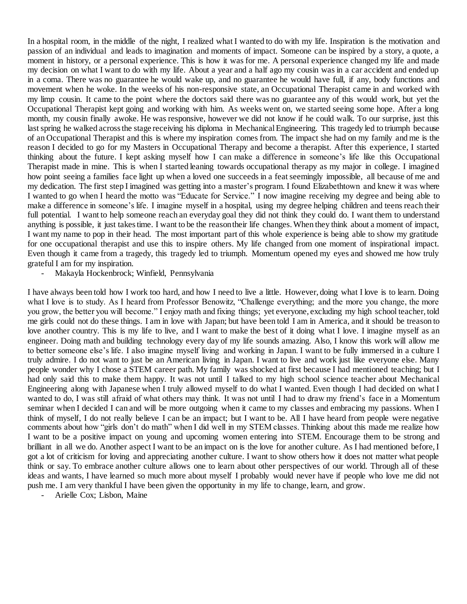In a hospital room, in the middle of the night, I realized what I wanted to do with my life. Inspiration is the motivation and passion of an individual and leads to imagination and moments of impact. Someone can be inspired by a story, a quote, a moment in history, or a personal experience. This is how it was for me. A personal experience changed my life and made my decision on what I want to do with my life. About a year and a half ago my cousin was in a car accident and ended up in a coma. There was no guarantee he would wake up, and no guarantee he would have full, if any, body functions and movement when he woke. In the weeks of his non-responsive state, an Occupational Therapist came in and worked with my limp cousin. It came to the point where the doctors said there was no guarantee any of this would work, but yet the Occupational Therapist kept going and working with him. As weeks went on, we started seeing some hope. After a long month, my cousin finally awoke. He was responsive, however we did not know if he could walk. To our surprise, just this last spring he walked across the stage receiving his diploma in Mechanical Engineering. This tragedy led to triumph because of an Occupational Therapist and this is where my inspiration comes from. The impact she had on my family and me is the reason I decided to go for my Masters in Occupational Therapy and become a therapist. After this experience, I started thinking about the future. I kept asking myself how I can make a difference in someone's life like this Occupational Therapist made in mine. This is when I started leaning towards occupational therapy as my major in college. I imagined how point seeing a families face light up when a loved one succeeds in a feat seemingly impossible, all because of me and my dedication. The first step I imagined was getting into a master's program. I found Elizabethtown and knew it was where I wanted to go when I heard the motto was "Educate for Service." I now imagine receiving my degree and being able to make a difference in someone's life. I imagine myself in a hospital, using my degree helping children and teens reach their full potential. I want to help someone reach an everyday goal they did not think they could do. I want them to understand anything is possible, it just takes time. I want to be the reason their life changes. When they think about a moment of impact, I want my name to pop in their head. The most important part of this whole experience is being able to show my gratitude for one occupational therapist and use this to inspire others. My life changed from one moment of inspirational impact. Even though it came from a tragedy, this tragedy led to triumph. Momentum opened my eyes and showed me how truly grateful I am for my inspiration.

- Makayla Hockenbrock; Winfield, Pennsylvania

I have always been told how I work too hard, and how I need to live a little. However, doing what I love is to learn. Doing what I love is to study. As I heard from Professor Benowitz, "Challenge everything; and the more you change, the more you grow, the better you will become." I enjoy math and fixing things; yet everyone, excluding my high school teacher, told me girls could not do these things. I am in love with Japan; but have been told I am in America, and it should be treason to love another country. This is my life to live, and I want to make the best of it doing what I love. I imagine myself as an engineer. Doing math and building technology every day of my life sounds amazing. Also, I know this work will allow me to better someone else's life. I also imagine myself living and working in Japan. I want to be fully immersed in a culture I truly admire. I do not want to just be an American living in Japan. I want to live and work just like everyone else. Many people wonder why I chose a STEM career path. My family was shocked at first because I had mentioned teaching; but I had only said this to make them happy. It was not until I talked to my high school science teacher about Mechanical Engineering along with Japanese when I truly allowed myself to do what I wanted. Even though I had decided on what I wanted to do, I was still afraid of what others may think. It was not until I had to draw my friend's face in a Momentum seminar when I decided I can and will be more outgoing when it came to my classes and embracing my passions. When I think of myself, I do not really believe I can be an impact; but I want to be. All I have heard from people were negative comments about how "girls don't do math" when I did well in my STEM classes. Thinking about this made me realize how I want to be a positive impact on young and upcoming women entering into STEM. Encourage them to be strong and brilliant in all we do. Another aspect I want to be an impact on is the love for another culture. As I had mentioned before, I got a lot of criticism for loving and appreciating another culture. I want to show others how it does not matter what people think or say. To embrace another culture allows one to learn about other perspectives of our world. Through all of these ideas and wants, I have learned so much more about myself I probably would never have if people who love me did not push me. I am very thankful I have been given the opportunity in my life to change, learn, and grow.

- Arielle Cox; Lisbon, Maine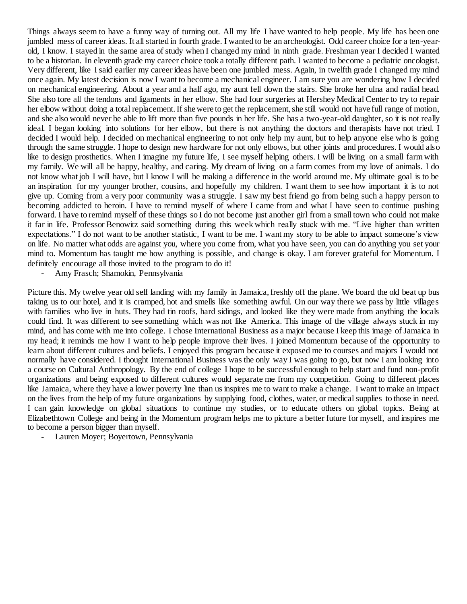Things always seem to have a funny way of turning out. All my life I have wanted to help people. My life has been one jumbled mess of career ideas. It all started in fourth grade. I wanted to be an archeologist. Odd career choice for a ten-yearold, I know. I stayed in the same area of study when I changed my mind in ninth grade. Freshman year I decided I wanted to be a historian. In eleventh grade my career choice took a totally different path. I wanted to become a pediatric oncologist. Very different, like I said earlier my career ideas have been one jumbled mess. Again, in twelfth grade I changed my mind once again. My latest decision is now I want to become a mechanical engineer. I am sure you are wondering how I decided on mechanical engineering. About a year and a half ago, my aunt fell down the stairs. She broke her ulna and radial head. She also tore all the tendons and ligaments in her elbow. She had four surgeries at Hershey Medical Center to try to repair her elbow without doing a total replacement. If she were to get the replacement, she still would not have full range of motion, and she also would never be able to lift more than five pounds in her life. She has a two-year-old daughter, so it is not really ideal. I began looking into solutions for her elbow, but there is not anything the doctors and therapists have not tried. I decided I would help. I decided on mechanical engineering to not only help my aunt, but to help anyone else who is going through the same struggle. I hope to design new hardware for not only elbows, but other joints and procedures. I would also like to design prosthetics. When I imagine my future life, I see myself helping others. I will be living on a small farm with my family. We will all be happy, healthy, and caring. My dream of living on a farm comes from my love of animals. I do not know what job I will have, but I know I will be making a difference in the world around me. My ultimate goal is to be an inspiration for my younger brother, cousins, and hopefully my children. I want them to see how important it is to not give up. Coming from a very poor community was a struggle. I saw my best friend go from being such a happy person to becoming addicted to heroin. I have to remind myself of where I came from and what I have seen to continue pushing forward. I have to remind myself of these things so I do not become just another girl from a small town who could not make it far in life. Professor Benowitz said something during this week which really stuck with me. "Live higher than written expectations." I do not want to be another statistic, I want to be me. I want my story to be able to impact someone's view on life. No matter what odds are against you, where you come from, what you have seen, you can do anything you set your mind to. Momentum has taught me how anything is possible, and change is okay. I am forever grateful for Momentum. I definitely encourage all those invited to the program to do it!

- Amy Frasch; Shamokin, Pennsylvania

Picture this. My twelve year old self landing with my family in Jamaica, freshly off the plane. We board the old beat up bus taking us to our hotel, and it is cramped, hot and smells like something awful. On our way there we pass by little villages with families who live in huts. They had tin roofs, hard sidings, and looked like they were made from anything the locals could find. It was different to see something which was not like America. This image of the village always stuck in my mind, and has come with me into college. I chose International Business as a major because I keep this image of Jamaica in my head; it reminds me how I want to help people improve their lives. I joined Momentum because of the opportunity to learn about different cultures and beliefs. I enjoyed this program because it exposed me to courses and majors I would not normally have considered. I thought International Business was the only way I was going to go, but now I am looking into a course on Cultural Anthropology. By the end of college I hope to be successful enough to help start and fund non-profit organizations and being exposed to different cultures would separate me from my competition. Going to different places like Jamaica, where they have a lower poverty line than us inspires me to want to make a change. I want to make an impact on the lives from the help of my future organizations by supplying food, clothes, water, or medical supplies to those in need. I can gain knowledge on global situations to continue my studies, or to educate others on global topics. Being at Elizabethtown College and being in the Momentum program helps me to picture a better future for myself, and inspires me to become a person bigger than myself.

Lauren Moyer; Boyertown, Pennsylvania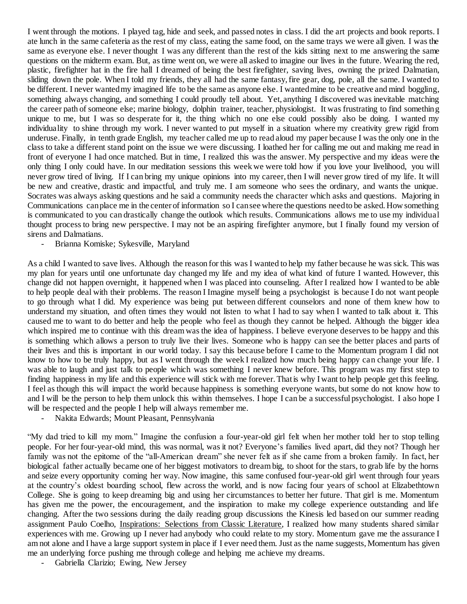I went through the motions. I played tag, hide and seek, and passed notes in class. I did the art projects and book reports. I ate lunch in the same cafeteria as the rest of my class, eating the same food, on the same trays we were all given. I was the same as everyone else. I never thought I was any different than the rest of the kids sitting next to me answering the same questions on the midterm exam. But, as time went on, we were all asked to imagine our lives in the future. Wearing the red, plastic, firefighter hat in the fire hall I dreamed of being the best firefighter, saving lives, owning the prized Dalmatian, sliding down the pole. When I told my friends, they all had the same fantasy, fire gear, dog, pole, all the same. I wanted to be different. I never wanted my imagined life to be the same as anyone else. I wanted mine to be creative and mind boggling, something always changing, and something I could proudly tell about. Yet, anything I discovered was inevitable matching the career path of someone else; marine biology, dolphin trainer, teacher, physiologist. It was frustrating to find something unique to me, but I was so desperate for it, the thing which no one else could possibly also be doing. I wanted my individuality to shine through my work. I never wanted to put myself in a situation where my creativity grew rigid from underuse. Finally, in tenth grade English, my teacher called me up to read aloud my paper because I was the only one in the class to take a different stand point on the issue we were discussing. I loathed her for calling me out and making me read in front of everyone I had once matched. But in time, I realized this was the answer. My perspective and my ideas were the only thing I only could have. In our meditation sessions this week we were told how if you love your livelihood, you will never grow tired of living. If I can bring my unique opinions into my career, then I will never grow tired of my life. It will be new and creative, drastic and impactful, and truly me. I am someone who sees the ordinary, and wants the unique. Socrates was always asking questions and he said a community needs the character which asks and questions. Majoring in Communications can place me in the center of information so I can see where the questions need to be asked. How something is communicated to you can drastically change the outlook which results. Communications allows me to use my individual thought process to bring new perspective. I may not be an aspiring firefighter anymore, but I finally found my version of sirens and Dalmatians.

- Brianna Komiske; Sykesville, Maryland

As a child I wanted to save lives. Although the reason for this was I wanted to help my father because he was sick. This was my plan for years until one unfortunate day changed my life and my idea of what kind of future I wanted. However, this change did not happen overnight, it happened when I was placed into counseling. After I realized how I wanted to be able to help people deal with their problems. The reason I Imagine myself being a psychologist is because I do not want people to go through what I did. My experience was being put between different counselors and none of them knew how to understand my situation, and often times they would not listen to what I had to say when I wanted to talk about it. This caused me to want to do better and help the people who feel as though they cannot be helped. Although the bigger idea which inspired me to continue with this dream was the idea of happiness. I believe everyone deserves to be happy and this is something which allows a person to truly live their lives. Someone who is happy can see the better places and parts of their lives and this is important in our world today. I say this because before I came to the Momentum program I did not know to how to be truly happy, but as I went through the week I realized how much being happy can change your life. I was able to laugh and just talk to people which was something I never knew before. This program was my first step to finding happiness in my life and this experience will stick with me forever. That is why I want to help people get this feeling. I feel as though this will impact the world because happiness is something everyone wants, but some do not know how to and I will be the person to help them unlock this within themselves. I hope I can be a successful psychologist. I also hope I will be respected and the people I help will always remember me.

- Nakita Edwards; Mount Pleasant, Pennsylvania

"My dad tried to kill my mom." Imagine the confusion a four-year-old girl felt when her mother told her to stop telling people. For her four-year-old mind, this was normal, was it not? Everyone's families lived apart, did they not? Though her family was not the epitome of the "all-American dream" she never felt as if she came from a broken family. In fact, her biological father actually became one of her biggest motivators to dream big, to shoot for the stars, to grab life by the horns and seize every opportunity coming her way. Now imagine, this same confused four-year-old girl went through four years at the country's oldest boarding school, flew across the world, and is now facing four years of school at Elizabethtown College. She is going to keep dreaming big and using her circumstances to better her future. That girl is me. Momentum has given me the power, the encouragement, and the inspiration to make my college experience outstanding and life changing. After the two sessions during the daily reading group discussions the Kinesis led based on our summer reading assignment Paulo Coelho, Inspirations: Selections from Classic Literature, I realized how many students shared similar experiences with me. Growing up I never had anybody who could relate to my story. Momentum gave me the assurance I am not alone and I have a large support system in place if I ever need them. Just as the name suggests, Momentum has given me an underlying force pushing me through college and helping me achieve my dreams.

- Gabriella Clarizio; Ewing, New Jersey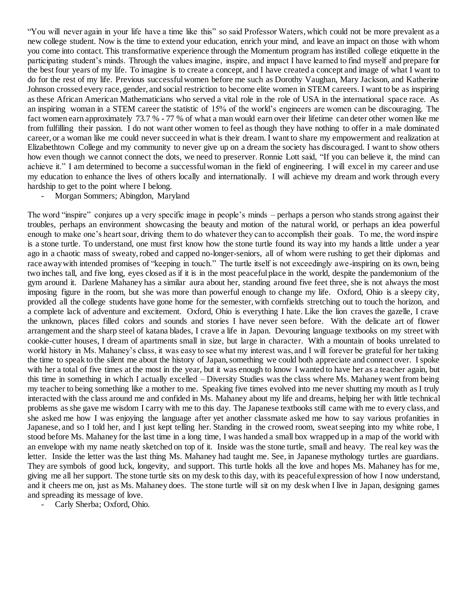"You will never again in your life have a time like this" so said Professor Waters, which could not be more prevalent as a new college student. Now is the time to extend your education, enrich your mind, and leave an impact on those with whom you come into contact. This transformative experience through the Momentum program has instilled college etiquette in the participating student's minds. Through the values imagine, inspire, and impact I have learned to find myself and prepare for the best four years of my life. To imagine is to create a concept, and I have created a concept and image of what I want to do for the rest of my life. Previous successful women before me such as Dorothy Vaughan, Mary Jackson, and Katherine Johnson crossed every race, gender, and social restriction to become elite women in STEM careers. I want to be as inspiring as these African American Mathematicians who served a vital role in the role of USA in the international space race. As an inspiring woman in a STEM career the statistic of 15% of the world's engineers are women can be discouraging. The fact women earn approximately 73.7 % - 77 % of what a man would earn over their lifetime can deter other women like me from fulfilling their passion. I do not want other women to feel as though they have nothing to offer in a male dominated career, or a woman like me could never succeed in what is their dream. I want to share my empowerment and realization at Elizabethtown College and my community to never give up on a dream the society has discouraged. I want to show others how even though we cannot connect the dots, we need to preserver. Ronnie Lott said, "If you can believe it, the mind can achieve it." I am determined to become a successful woman in the field of engineering. I will excel in my career and use my education to enhance the lives of others locally and internationally. I will achieve my dream and work through every hardship to get to the point where I belong.

- Morgan Sommers; Abingdon, Maryland

The word "inspire" conjures up a very specific image in people's minds – perhaps a person who stands strong against their troubles, perhaps an environment showcasing the beauty and motion of the natural world, or perhaps an idea powerful enough to make one's heart soar, driving them to do whatever they can to accomplish their goals. To me, the word inspire is a stone turtle. To understand, one must first know how the stone turtle found its way into my hands a little under a year ago in a chaotic mass of sweaty, robed and capped no-longer-seniors, all of whom were rushing to get their diplomas and race away with intended promises of "keeping in touch." The turtle itself is not exceedingly awe-inspiring on its own, being two inches tall, and five long, eyes closed as if it is in the most peaceful place in the world, despite the pandemonium of the gym around it. Darlene Mahaney has a similar aura about her, standing around five feet three, she is not always the most imposing figure in the room, but she was more than powerful enough to change my life. Oxford, Ohio is a sleepy city, provided all the college students have gone home for the semester, with cornfields stretching out to touch the horizon, and a complete lack of adventure and excitement. Oxford, Ohio is everything I hate. Like the lion craves the gazelle, I crave the unknown, places filled colors and sounds and stories I have never seen before. With the delicate art of flower arrangement and the sharp steel of katana blades, I crave a life in Japan. Devouring language textbooks on my street with cookie-cutter houses, I dream of apartments small in size, but large in character. With a mountain of books unrelated to world history in Ms. Mahaney's class, it was easy to see what my interest was, and I will forever be grateful for her taking the time to speak to the silent me about the history of Japan, something we could both appreciate and connect over. I spoke with her a total of five times at the most in the year, but it was enough to know I wanted to have her as a teacher again, but this time in something in which I actually excelled – Diversity Studies was the class where Ms. Mahaney went from being my teacher to being something like a mother to me. Speaking five times evolved into me never shutting my mouth as I truly interacted with the class around me and confided in Ms. Mahaney about my life and dreams, helping her with little technical problems as she gave me wisdom I carry with me to this day. The Japanese textbooks still came with me to every class, and she asked me how I was enjoying the language after yet another classmate asked me how to say various profanities in Japanese, and so I told her, and I just kept telling her. Standing in the crowed room, sweat seeping into my white robe, I stood before Ms. Mahaney for the last time in a long time, I was handed a small box wrapped up in a map of the world with an envelope with my name neatly sketched on top of it. Inside was the stone turtle, small and heavy. The real key was the letter. Inside the letter was the last thing Ms. Mahaney had taught me. See, in Japanese mythology turtles are guardians. They are symbols of good luck, longevity, and support. This turtle holds all the love and hopes Ms. Mahaney has for me, giving me all her support. The stone turtle sits on my desk to this day, with its peaceful expression of how I now understand, and it cheers me on, just as Ms. Mahaney does. The stone turtle will sit on my desk when I live in Japan, designing games and spreading its message of love.

Carly Sherba; Oxford, Ohio.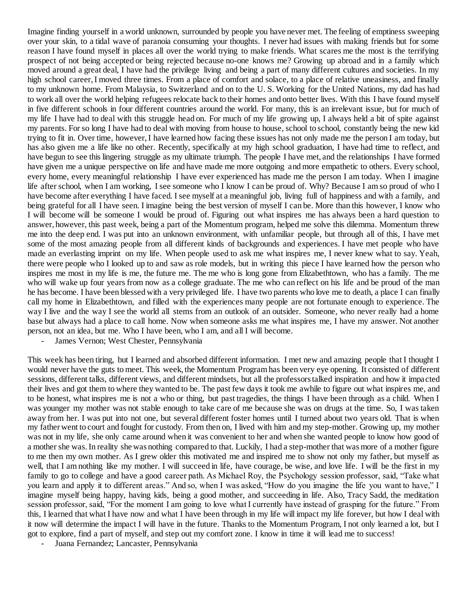Imagine finding yourself in a world unknown, surrounded by people you have never met. The feeling of emptiness sweeping over your skin, to a tidal wave of paranoia consuming your thoughts. I never had issues with making friends but for some reason I have found myself in places all over the world trying to make friends. What scares me the most is the terrifying prospect of not being accepted or being rejected because no-one knows me? Growing up abroad and in a family which moved around a great deal, I have had the privilege living and being a part of many different cultures and societies. In my high school career, I moved three times. From a place of comfort and solace, to a place of relative uneasiness, and finally to my unknown home. From Malaysia, to Switzerland and on to the U. S. Working for the United Nations, my dad has had to work all over the world helping refugees relocate back to their homes and onto better lives. With this I have found myself in five different schools in four different countries around the world. For many, this is an irrelevant issue, but for much of my life I have had to deal with this struggle head on. For much of my life growing up, I always held a bit of spite against my parents. For so long I have had to deal with moving from house to house, school to school, constantly being the new kid trying to fit in. Over time, however, I have learned how facing these issues has not only made me the person I am today, but has also given me a life like no other. Recently, specifically at my high school graduation, I have had time to reflect, and have begun to see this lingering struggle as my ultimate triumph. The people I have met, and the relationships I have formed have given me a unique perspective on life and have made me more outgoing and more empathetic to others. Every school, every home, every meaningful relationship I have ever experienced has made me the person I am today. When I imagine life after school, when I am working, I see someone who I know I can be proud of. Why? Because I am so proud of who I have become after everything I have faced. I see myself at a meaningful job, living full of happiness and with a family, and being grateful for all I have seen. I imagine being the best version of myself I can be. More than this however, I know who I will become will be someone I would be proud of. Figuring out what inspires me has always been a hard question to answer, however, this past week, being a part of the Momentum program, helped me solve this dilemma. Momentum threw me into the deep end. I was put into an unknown environment, with unfamiliar people, but through all of this, I have met some of the most amazing people from all different kinds of backgrounds and experiences. I have met people who have made an everlasting imprint on my life. When people used to ask me what inspires me, I never knew what to say. Yeah, there were people who I looked up to and saw as role models, but in writing this piece I have learned how the person who inspires me most in my life is me, the future me. The me who is long gone from Elizabethtown, who has a family. The me who will wake up four years from now as a college graduate. The me who can reflect on his life and be proud of the man he has become. I have been blessed with a very privileged life. I have two parents who love me to death, a place I can finally call my home in Elizabethtown, and filled with the experiences many people are not fortunate enough to experience. The way I live and the way I see the world all stems from an outlook of an outsider. Someone, who never really had a home base but always had a place to call home. Now when someone asks me what inspires me, I have my answer. Not another person, not an idea, but me. Who I have been, who I am, and all I will become.

James Vernon; West Chester, Pennsylvania

This week has been tiring, but I learned and absorbed different information. I met new and amazing people that I thought I would never have the guts to meet. This week, the Momentum Program has been very eye opening. It consisted of different sessions, different talks, different views, and different mindsets, but all the professors talked inspiration and how it impacted their lives and got them to where they wanted to be. The past few days it took me awhile to figure out what inspires me, and to be honest, what inspires me is not a who or thing, but past tragedies, the things I have been through as a child. When I was younger my mother was not stable enough to take care of me because she was on drugs at the time. So, I was taken away from her. I was put into not one, but several different foster homes until I turned about two years old. That is when my father went to court and fought for custody. From then on, I lived with him and my step-mother. Growing up, my mother was not in my life, she only came around when it was convenient to her and when she wanted people to know how good of a mother she was. In reality she was nothing compared to that. Luckily, I had a step-mother that was more of a mother figure to me then my own mother. As I grew older this motivated me and inspired me to show not only my father, but myself as well, that I am nothing like my mother. I will succeed in life, have courage, be wise, and love life. I will be the first in my family to go to college and have a good career path. As Michael Roy, the Psychology session professor, said, "Take what you learn and apply it to different areas." And so, when I was asked, "How do you imagine the life you want to have," I imagine myself being happy, having kids, being a good mother, and succeeding in life. Also, Tracy Sadd, the meditation session professor, said, "For the moment I am going to love what I currently have instead of grasping for the future." From this, I learned that what I have now and what I have been through in my life will impact my life forever, but how I deal with it now will determine the impact I will have in the future. Thanks to the Momentum Program, I not only learned a lot, but I got to explore, find a part of myself, and step out my comfort zone. I know in time it will lead me to success!

Juana Fernandez; Lancaster, Pennsylvania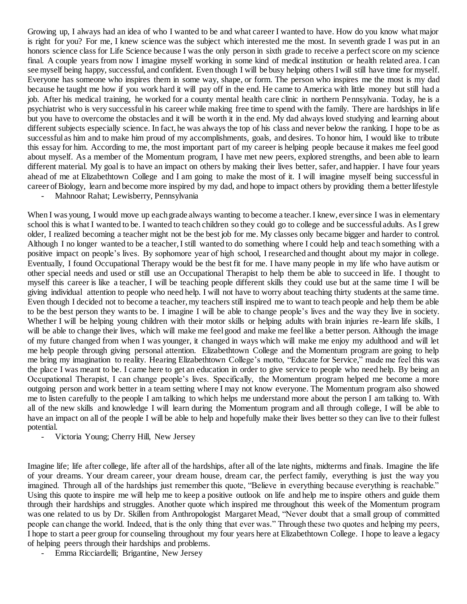Growing up, I always had an idea of who I wanted to be and what career I wanted to have. How do you know what major is right for you? For me, I knew science was the subject which interested me the most. In seventh grade I was put in an honors science class for Life Science because I was the only person in sixth grade to receive a perfect score on my science final. A couple years from now I imagine myself working in some kind of medical institution or health related area. I can see myself being happy, successful, and confident. Even though I will be busy helping others I will still have time for myself. Everyone has someone who inspires them in some way, shape, or form. The person who inspires me the most is my dad because he taught me how if you work hard it will pay off in the end. He came to America with little money but still had a job. After his medical training, he worked for a county mental health care clinic in northern Pennsylvania. Today, he is a psychiatrist who is very successful in his career while making free time to spend with the family. There are hardships in life but you have to overcome the obstacles and it will be worth it in the end. My dad always loved studying and learning about different subjects especially science. In fact, he was always the top of his class and never below the ranking. I hope to be as successful as him and to make him proud of my accomplishments, goals, and desires. To honor him, I would like to tribute this essay for him. According to me, the most important part of my career is helping people because it makes me feel good about myself. As a member of the Momentum program, I have met new peers, explored strengths, and been able to learn different material. My goal is to have an impact on others by making their lives better, safer, and happier. I have four years ahead of me at Elizabethtown College and I am going to make the most of it. I will imagine myself being successful in career of Biology, learn and become more inspired by my dad, and hope to impact others by providing them a better lifestyle

Mahnoor Rahat; Lewisberry, Pennsylvania

When I was young, I would move up each grade always wanting to become a teacher. I knew, ever since I was in elementary school this is what I wanted to be. I wanted to teach children so they could go to college and be successful adults. As I grew older, I realized becoming a teacher might not be the best job for me. My classes only became bigger and harder to control. Although I no longer wanted to be a teacher, I still wanted to do something where I could help and teach something with a positive impact on people's lives. By sophomore year of high school, I researched and thought about my major in college. Eventually, I found Occupational Therapy would be the best fit for me. I have many people in my life who have autism or other special needs and used or still use an Occupational Therapist to help them be able to succeed in life. I thought to myself this career is like a teacher, I will be teaching people different skills they could use but at the same time I will be giving individual attention to people who need help. I will not have to worry about teaching thirty students at the same time. Even though I decided not to become a teacher, my teachers still inspired me to want to teach people and help them be able to be the best person they wants to be. I imagine I will be able to change people's lives and the way they live in society. Whether I will be helping young children with their motor skills or helping adults with brain injuries re-learn life skills, I will be able to change their lives, which will make me feel good and make me feel like a better person. Although the image of my future changed from when I was younger, it changed in ways which will make me enjoy my adulthood and will let me help people through giving personal attention. Elizabethtown College and the Momentum program are going to help me bring my imagination to reality. Hearing Elizabethtown College's motto, "Educate for Service," made me feel this was the place I was meant to be. I came here to get an education in order to give service to people who need help. By being an Occupational Therapist, I can change people's lives. Specifically, the Momentum program helped me become a more outgoing person and work better in a team setting where I may not know everyone. The Momentum program also showed me to listen carefully to the people I am talking to which helps me understand more about the person I am talking to. With all of the new skills and knowledge I will learn during the Momentum program and all through college, I will be able to have an impact on all of the people I will be able to help and hopefully make their lives better so they can live to their fullest potential.

- Victoria Young; Cherry Hill, New Jersey

Imagine life; life after college, life after all of the hardships, after all of the late nights, midterms and finals. Imagine the life of your dreams. Your dream career, your dream house, dream car, the perfect family, everything is just the way you imagined. Through all of the hardships just remember this quote, "Believe in everything because everything is reachable." Using this quote to inspire me will help me to keep a positive outlook on life and help me to inspire others and guide them through their hardships and struggles. Another quote which inspired me throughout this week of the Momentum program was one related to us by Dr. Skillen from Anthropologist Margaret Mead, "Never doubt that a small group of committed people can change the world. Indeed, that is the only thing that ever was." Through these two quotes and helping my peers, I hope to start a peer group for counseling throughout my four years here at Elizabethtown College. I hope to leave a legacy of helping peers through their hardships and problems.

- Emma Ricciardelli; Brigantine, New Jersey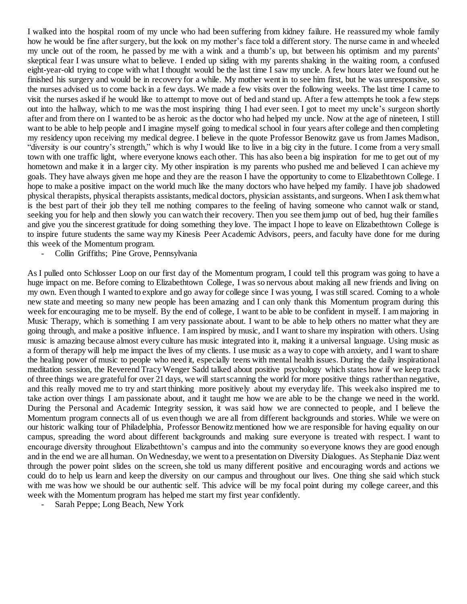I walked into the hospital room of my uncle who had been suffering from kidney failure. He reassured my whole family how he would be fine after surgery, but the look on my mother's face told a different story. The nurse came in and wheeled my uncle out of the room, he passed by me with a wink and a thumb's up, but between his optimism and my parents' skeptical fear I was unsure what to believe. I ended up siding with my parents shaking in the waiting room, a confused eight-year-old trying to cope with what I thought would be the last time I saw my uncle. A few hours later we found out he finished his surgery and would be in recovery for a while. My mother went in to see him first, but he was unresponsive, so the nurses advised us to come back in a few days. We made a few visits over the following weeks. The last time I came to visit the nurses asked if he would like to attempt to move out of bed and stand up. After a few attempts he took a few steps out into the hallway, which to me was the most inspiring thing I had ever seen. I got to meet my uncle's surgeon shortly after and from there on I wanted to be as heroic as the doctor who had helped my uncle. Now at the age of nineteen, I still want to be able to help people and I imagine myself going to medical school in four years after college and then completing my residency upon receiving my medical degree. I believe in the quote Professor Benowitz gave us from James Madison, "diversity is our country's strength," which is why I would like to live in a big city in the future. I come from a very small town with one traffic light, where everyone knows each other. This has also been a big inspiration for me to get out of my hometown and make it in a larger city. My other inspiration is my parents who pushed me and believed I can achieve my goals. They have always given me hope and they are the reason I have the opportunity to come to Elizabethtown College. I hope to make a positive impact on the world much like the many doctors who have helped my family. I have job shadowed physical therapists, physical therapists assistants, medical doctors, physician assistants, and surgeons. When I ask them what is the best part of their job they tell me nothing compares to the feeling of having someone who cannot walk or stand, seeking you for help and then slowly you can watch their recovery. Then you see them jump out of bed, hug their families and give you the sincerest gratitude for doing something they love. The impact I hope to leave on Elizabethtown College is to inspire future students the same way my Kinesis Peer Academic Advisors, peers, and faculty have done for me during this week of the Momentum program.

Collin Griffiths; Pine Grove, Pennsylvania

As I pulled onto Schlosser Loop on our first day of the Momentum program, I could tell this program was going to have a huge impact on me. Before coming to Elizabethtown College, I was so nervous about making all new friends and living on my own. Even though I wanted to explore and go away for college since I was young, I was still scared. Coming to a whole new state and meeting so many new people has been amazing and I can only thank this Momentum program during this week for encouraging me to be myself. By the end of college, I want to be able to be confident in myself. I am majoring in Music Therapy, which is something I am very passionate about. I want to be able to help others no matter what they are going through, and make a positive influence. I am inspired by music, and I want to share my inspiration with others. Using music is amazing because almost every culture has music integrated into it, making it a universal language. Using music as a form of therapy will help me impact the lives of my clients. I use music as a way to cope with anxiety, and I want to share the healing power of music to people who need it, especially teens with mental health issues. During the daily inspirational meditation session, the Reverend Tracy Wenger Sadd talked about positive psychology which states how if we keep track of three things we are grateful for over 21 days, we will start scanning the world for more positive things rather than negative, and this really moved me to try and start thinking more positively about my everyday life. This week also inspired me to take action over things I am passionate about, and it taught me how we are able to be the change we need in the world. During the Personal and Academic Integrity session, it was said how we are connected to people, and I believe the Momentum program connects all of us even though we are all from different backgrounds and stories. While we were on our historic walking tour of Philadelphia, Professor Benowitz mentioned how we are responsible for having equality on our campus, spreading the word about different backgrounds and making sure everyone is treated with respect. I want to encourage diversity throughout Elizabethtown's campus and into the community so everyone knows they are good enough and in the end we are all human. On Wednesday, we went to a presentation on Diversity Dialogues. As Stephanie Diaz went through the power point slides on the screen, she told us many different positive and encouraging words and actions we could do to help us learn and keep the diversity on our campus and throughout our lives. One thing she said which stuck with me was how we should be our authentic self. This advice will be my focal point during my college career, and this week with the Momentum program has helped me start my first year confidently.

Sarah Peppe; Long Beach, New York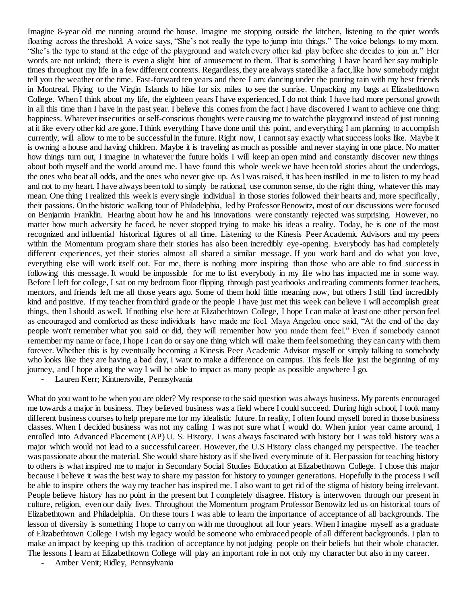Imagine 8-year old me running around the house. Imagine me stopping outside the kitchen, listening to the quiet words floating across the threshold. A voice says, "She's not really the type to jump into things." The voice belongs to my mom. "She's the type to stand at the edge of the playground and watch every other kid play before she decides to join in." Her words are not unkind; there is even a slight hint of amusement to them. That is something I have heard her say multiple times throughout my life in a few different contexts. Regardless, they are always stated like a fact, like how somebody might tell you the weather or the time. Fast-forward ten years and there I am: dancing under the pouring rain with my best friends in Montreal. Flying to the Virgin Islands to hike for six miles to see the sunrise. Unpacking my bags at Elizabethtown College. When I think about my life, the eighteen years I have experienced, I do not think I have had more personal growth in all this time than I have in the past year. I believe this comes from the fact I have discovered I want to achieve one thing: happiness. Whatever insecurities or self-conscious thoughts were causing me to watch the playground instead of just running at it like every other kid are gone. I think everything I have done until this point, and everything I am planning to accomplish currently, will allow to me to be successful in the future. Right now, I cannot say exactly what success looks like. Maybe it is owning a house and having children. Maybe it is traveling as much as possible and never staying in one place. No matter how things turn out, I imagine in whatever the future holds I will keep an open mind and constantly discover new things about both myself and the world around me. I have found this whole week we have been told stories about the underdogs, the ones who beat all odds, and the ones who never give up. As I was raised, it has been instilled in me to listen to my head and not to my heart. I have always been told to simply be rational, use common sense, do the right thing, whatever this may mean. One thing I realized this week is every single individual in those stories followed their hearts and, more specifically, their passions. On the historic walking tour of Philadelphia, led by Professor Benowitz, most of our discussions were focused on Benjamin Franklin. Hearing about how he and his innovations were constantly rejected was surprising. However, no matter how much adversity he faced, he never stopped trying to make his ideas a reality. Today, he is one of the most recognized and influential historical figures of all time. Listening to the Kinesis Peer Academic Advisors and my peers within the Momentum program share their stories has also been incredibly eye-opening. Everybody has had completely different experiences, yet their stories almost all shared a similar message. If you work hard and do what you love, everything else will work itself out. For me, there is nothing more inspiring than those who are able to find success in following this message. It would be impossible for me to list everybody in my life who has impacted me in some way. Before I left for college, I sat on my bedroom floor flipping through past yearbooks and reading comments former teachers, mentors, and friends left me all those years ago. Some of them hold little meaning now, but others I still find incredibly kind and positive. If my teacher from third grade or the people I have just met this week can believe I will accomplish great things, then I should as well. If nothing else here at Elizabethtown College, I hope I can make at least one other person feel as encouraged and comforted as these individuals have made me feel. Maya Angelou once said, "At the end of the day people won't remember what you said or did, they will remember how you made them feel." Even if somebody cannot remember my name or face, I hope I can do or say one thing which will make them feel something they can carry with them forever. Whether this is by eventually becoming a Kinesis Peer Academic Advisor myself or simply talking to somebody who looks like they are having a bad day, I want to make a difference on campus. This feels like just the beginning of my journey, and I hope along the way I will be able to impact as many people as possible anywhere I go.

- Lauren Kerr; Kintnersville, Pennsylvania

What do you want to be when you are older? My response to the said question was always business. My parents encouraged me towards a major in business. They believed business was a field where I could succeed. During high school, I took many different business courses to help prepare me for my idealistic future. In reality, I often found myself bored in those business classes. When I decided business was not my calling I was not sure what I would do. When junior year came around, I enrolled into Advanced Placement (AP) U. S. History. I was always fascinated with history but I was told history was a major which would not lead to a successful career. However, the U.S History class changed my perspective. The teacher was passionate about the material. She would share history as if she lived every minute of it. Her passion for teaching history to others is what inspired me to major in Secondary Social Studies Education at Elizabethtown College. I chose this major because I believe it was the best way to share my passion for history to younger generations. Hopefully in the process I will be able to inspire others the way my teacher has inspired me. I also want to get rid of the stigma of history being irrelevant. People believe history has no point in the present but I completely disagree. History is interwoven through our present in culture, religion, even our daily lives. Throughout the Momentum program Professor Benowitz led us on historical tours of Elizabethtown and Philadelphia. On these tours I was able to learn the importance of acceptance of all backgrounds. The lesson of diversity is something I hope to carry on with me throughout all four years. When I imagine myself as a graduate of Elizabethtown College I wish my legacy would be someone who embraced people of all different backgrounds. I plan to make an impact by keeping up this tradition of acceptance by not judging people on their beliefs but their whole character. The lessons I learn at Elizabethtown College will play an important role in not only my character but also in my career.

- Amber Venit; Ridley, Pennsylvania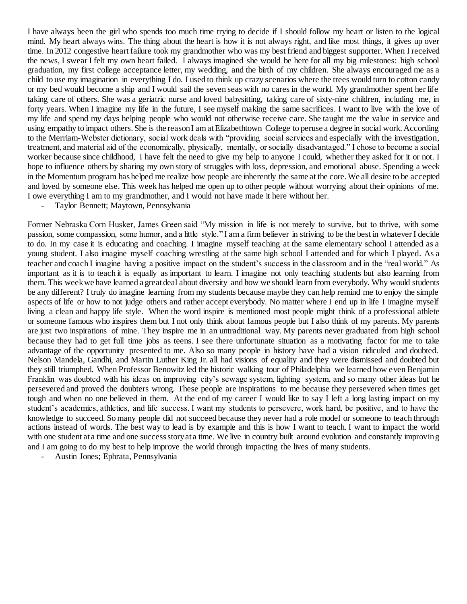I have always been the girl who spends too much time trying to decide if I should follow my heart or listen to the logical mind. My heart always wins. The thing about the heart is how it is not always right, and like most things, it gives up over time. In 2012 congestive heart failure took my grandmother who was my best friend and biggest supporter. When I received the news, I swear I felt my own heart failed. I always imagined she would be here for all my big milestones: high school graduation, my first college acceptance letter, my wedding, and the birth of my children. She always encouraged me as a child to use my imagination in everything I do. I used to think up crazy scenarios where the trees would turn to cotton candy or my bed would become a ship and I would sail the seven seas with no cares in the world. My grandmother spent her life taking care of others. She was a geriatric nurse and loved babysitting, taking care of sixty-nine children, including me, in forty years. When I imagine my life in the future, I see myself making the same sacrifices. I want to live with the love of my life and spend my days helping people who would not otherwise receive care. She taught me the value in service and using empathy to impact others. She is the reason I am at Elizabethtown College to peruse a degree in social work. According to the Merriam-Webster dictionary, social work deals with "providing social services and especially with the investigation, treatment, and material aid of the economically, physically, mentally, or socially disadvantaged." I chose to become a social worker because since childhood, I have felt the need to give my help to anyone I could, whether they asked for it or not. I hope to influence others by sharing my own story of struggles with loss, depression, and emotional abuse. Spending a week in the Momentum program has helped me realize how people are inherently the same at the core. We all desire to be accepted and loved by someone else. This week has helped me open up to other people without worrying about their opinions of me. I owe everything I am to my grandmother, and I would not have made it here without her.

Taylor Bennett; Maytown, Pennsylvania

Former Nebraska Corn Husker, James Green said "My mission in life is not merely to survive, but to thrive, with some passion, some compassion, some humor, and a little style." I am a firm believer in striving to be the best in whatever I decide to do. In my case it is educating and coaching. I imagine myself teaching at the same elementary school I attended as a young student. I also imagine myself coaching wrestling at the same high school I attended and for which I played. As a teacher and coach I imagine having a positive impact on the student's success in the classroom and in the "real world." As important as it is to teach it is equally as important to learn. I imagine not only teaching students but also learning from them. This week we have learned a great deal about diversity and how we should learn from everybody. Why would students be any different? I truly do imagine learning from my students because maybe they can help remind me to enjoy the simple aspects of life or how to not judge others and rather accept everybody. No matter where I end up in life I imagine myself living a clean and happy life style. When the word inspire is mentioned most people might think of a professional athlete or someone famous who inspires them but I not only think about famous people but I also think of my parents. My parents are just two inspirations of mine. They inspire me in an untraditional way. My parents never graduated from high school because they had to get full time jobs as teens. I see there unfortunate situation as a motivating factor for me to take advantage of the opportunity presented to me. Also so many people in history have had a vision ridiculed and doubted. Nelson Mandela, Gandhi, and Martin Luther King Jr. all had visions of equality and they were dismissed and doubted but they still triumphed. When Professor Benowitz led the historic walking tour of Philadelphia we learned how even Benjamin Franklin was doubted with his ideas on improving city's sewage system, lighting system, and so many other ideas but he persevered and proved the doubters wrong. These people are inspirations to me because they persevered when times get tough and when no one believed in them. At the end of my career I would like to say I left a long lasting impact on my student's academics, athletics, and life success. I want my students to persevere, work hard, be positive, and to have the knowledge to succeed. So many people did not succeed because they never had a role model or someone to teach through actions instead of words. The best way to lead is by example and this is how I want to teach. I want to impact the world with one student at a time and one success story at a time. We live in country built around evolution and constantly improving and I am going to do my best to help improve the world through impacting the lives of many students.

- Austin Jones; Ephrata, Pennsylvania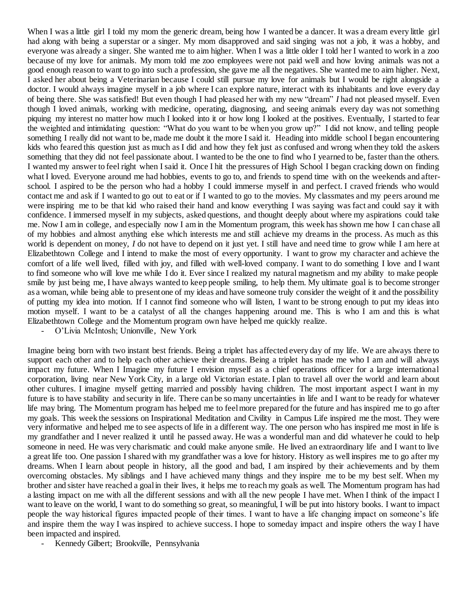When I was a little girl I told my mom the generic dream, being how I wanted be a dancer. It was a dream every little girl had along with being a superstar or a singer. My mom disapproved and said singing was not a job, it was a hobby, and everyone was already a singer. She wanted me to aim higher. When I was a little older I told her I wanted to work in a zoo because of my love for animals. My mom told me zoo employees were not paid well and how loving animals was not a good enough reason to want to go into such a profession, she gave me all the negatives. She wanted me to aim higher. Next, I asked her about being a Veterinarian because I could still pursue my love for animals but I would be right alongside a doctor. I would always imagine myself in a job where I can explore nature, interact with its inhabitants and love every day of being there. She was satisfied! But even though I had pleased her with my new "dream" *I* had not pleased myself. Even though I loved animals, working with medicine, operating, diagnosing, and seeing animals every day was not something piquing my interest no matter how much I looked into it or how long I looked at the positives. Eventually, I started to fear the weighted and intimidating question: "What do you want to be when you grow up?" I did not know, and telling people something I really did not want to be, made me doubt it the more I said it. Heading into middle school I began encountering kids who feared this question just as much as I did and how they felt just as confused and wrong when they told the askers something that they did not feel passionate about. I wanted to be the one to find who I yearned to be, faster than the others. I wanted my answer to feel right when I said it. Once I hit the pressures of High School I began cracking down on finding what I loved. Everyone around me had hobbies, events to go to, and friends to spend time with on the weekends and afterschool. I aspired to be the person who had a hobby I could immerse myself in and perfect. I craved friends who would contact me and ask if I wanted to go out to eat or if I wanted to go to the movies. My classmates and my peers around me were inspiring me to be that kid who raised their hand and know everything I was saying was fact and could say it with confidence. I immersed myself in my subjects, asked questions, and thought deeply about where my aspirations could take me. Now I am in college, and especially now I am in the Momentum program, this week has shown me how I can chase all of my hobbies and almost anything else which interests me and still achieve my dreams in the process. As much as this world is dependent on money, *I* do not have to depend on it just yet. I still have and need time to grow while I am here at Elizabethtown College and I intend to make the most of every opportunity. I want to grow my character and achieve the comfort of a life well lived, filled with joy, and filled with well-loved company. I want to do something I love and I want to find someone who will love me while I do it. Ever since I realized my natural magnetism and my ability to make people smile by just being me, I have always wanted to keep people smiling, to help them. My ultimate goal is to become stronger as a woman, while being able to present one of my ideas and have someone truly consider the weight of it and the possibility of putting my idea into motion. If I cannot find someone who will listen, I want to be strong enough to put my ideas into motion myself. I want to be a catalyst of all the changes happening around me. This is who I am and this is what Elizabethtown College and the Momentum program own have helped me quickly realize.

- O'Livia McIntosh; Unionville, New York

Imagine being born with two instant best friends. Being a triplet has affected every day of my life. We are always there to support each other and to help each other achieve their dreams. Being a triplet has made me who I am and will always impact my future. When I Imagine my future I envision myself as a chief operations officer for a large international corporation, living near New York City, in a large old Victorian estate. I plan to travel all over the world and learn about other cultures. I imagine myself getting married and possibly having children. The most important aspect I want in my future is to have stability and security in life. There can be so many uncertainties in life and I want to be ready for whatever life may bring. The Momentum program has helped me to feel more prepared for the future and has inspired me to go after my goals. This week the sessions on Inspirational Meditation and Civility in Campus Life inspired me the most. They were very informative and helped me to see aspects of life in a different way. The one person who has inspired me most in life is my grandfather and I never realized it until he passed away. He was a wonderful man and did whatever he could to help someone in need. He was very charismatic and could make anyone smile. He lived an extraordinary life and I want to live a great life too. One passion I shared with my grandfather was a love for history. History as well inspires me to go after my dreams. When I learn about people in history, all the good and bad, I am inspired by their achievements and by them overcoming obstacles. My siblings and I have achieved many things and they inspire me to be my best self. When my brother and sister have reached a goal in their lives, it helps me to reach my goals as well. The Momentum program has had a lasting impact on me with all the different sessions and with all the new people I have met. When I think of the impact I want to leave on the world, I want to do something so great, so meaningful, I will be put into history books. I want to impact people the way historical figures impacted people of their times. I want to have a life changing impact on someone's life and inspire them the way I was inspired to achieve success. I hope to someday impact and inspire others the way I have been impacted and inspired.

Kennedy Gilbert; Brookville, Pennsylvania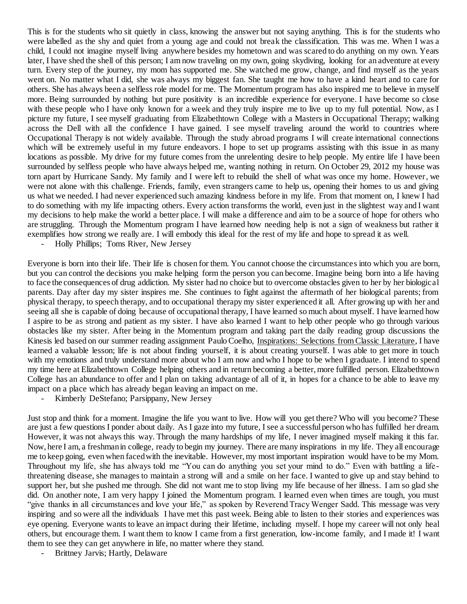This is for the students who sit quietly in class, knowing the answer but not saying anything. This is for the students who were labelled as the shy and quiet from a young age and could not break the classification. This was me. When I was a child, I could not imagine myself living anywhere besides my hometown and was scared to do anything on my own. Years later, I have shed the shell of this person; I am now traveling on my own, going skydiving, looking for an adventure at every turn. Every step of the journey, my mom has supported me. She watched me grow, change, and find myself as the years went on. No matter what I did, she was always my biggest fan. She taught me how to have a kind heart and to care for others. She has always been a selfless role model for me. The Momentum program has also inspired me to believe in myself more. Being surrounded by nothing but pure positivity is an incredible experience for everyone. I have become so close with these people who I have only known for a week and they truly inspire me to live up to my full potential. Now, as I picture my future, I see myself graduating from Elizabethtown College with a Masters in Occupational Therapy; walking across the Dell with all the confidence I have gained. I see myself traveling around the world to countries where Occupational Therapy is not widely available. Through the study abroad programs I will create international connections which will be extremely useful in my future endeavors. I hope to set up programs assisting with this issue in as many locations as possible. My drive for my future comes from the unrelenting desire to help people. My entire life I have been surrounded by selfless people who have always helped me, wanting nothing in return. On October 29, 2012 my house was torn apart by Hurricane Sandy. My family and I were left to rebuild the shell of what was once my home. However, we were not alone with this challenge. Friends, family, even strangers came to help us, opening their homes to us and giving us what we needed. I had never experienced such amazing kindness before in my life. From that moment on, I knew I had to do something with my life impacting others. Every action transforms the world, even just in the slightest way and I want my decisions to help make the world a better place. I will make a difference and aim to be a source of hope for others who are struggling. Through the Momentum program I have learned how needing help is not a sign of weakness but rather it exemplifies how strong we really are. I will embody this ideal for the rest of my life and hope to spread it as well.

- Holly Phillips; Toms River, New Jersey

Everyone is born into their life. Their life is chosen for them. You cannot choose the circumstances into which you are born, but you can control the decisions you make helping form the person you can become. Imagine being born into a life having to face the consequences of drug addiction. My sister had no choice but to overcome obstacles given to her by her biological parents. Day after day my sister inspires me. She continues to fight against the aftermath of her biological parents; from physical therapy, to speech therapy, and to occupational therapy my sister experienced it all. After growing up with her and seeing all she is capable of doing because of occupational therapy, I have learned so much about myself. I have learned how I aspire to be as strong and patient as my sister. I have also learned I want to help other people who go through various obstacles like my sister. After being in the Momentum program and taking part the daily reading group discussions the Kinesis led based on our summer reading assignment Paulo Coelho, Inspirations: Selections from Classic Literature, I have learned a valuable lesson; life is not about finding yourself, it is about creating yourself. I was able to get more in touch with my emotions and truly understand more about who I am now and who I hope to be when I graduate. I intend to spend my time here at Elizabethtown College helping others and in return becoming a better, more fulfilled person. Elizabethtown College has an abundance to offer and I plan on taking advantage of all of it, in hopes for a chance to be able to leave my impact on a place which has already began leaving an impact on me.

Kimberly DeStefano; Parsippany, New Jersey

Just stop and think for a moment. Imagine the life you want to live. How will you get there? Who will you become? These are just a few questions I ponder about daily. As I gaze into my future, I see a successful person who has fulfilled her dream. However, it was not always this way. Through the many hardships of my life, I never imagined myself making it this far. Now, here I am, a freshman in college, ready to begin my journey. There are many inspirations in my life. They all encourage me to keep going, even when faced with the inevitable. However, my most important inspiration would have to be my Mom. Throughout my life, she has always told me "You can do anything you set your mind to do." Even with battling a lifethreatening disease, she manages to maintain a strong will and a smile on her face. I wanted to give up and stay behind to support her, but she pushed me through. She did not want me to stop living my life because of her illness. I am so glad she did. On another note, I am very happy I joined the Momentum program. I learned even when times are tough, you must "give thanks in all circumstances and love your life," as spoken by Reverend Tracy Wenger Sadd. This message was very inspiring and so were all the individuals I have met this past week. Being able to listen to their stories and experiences was eye opening. Everyone wants to leave an impact during their lifetime, including myself. I hope my career will not only heal others, but encourage them. I want them to know I came from a first generation, low-income family, and I made it! I want them to see they can get anywhere in life, no matter where they stand.

Brittney Jarvis; Hartly, Delaware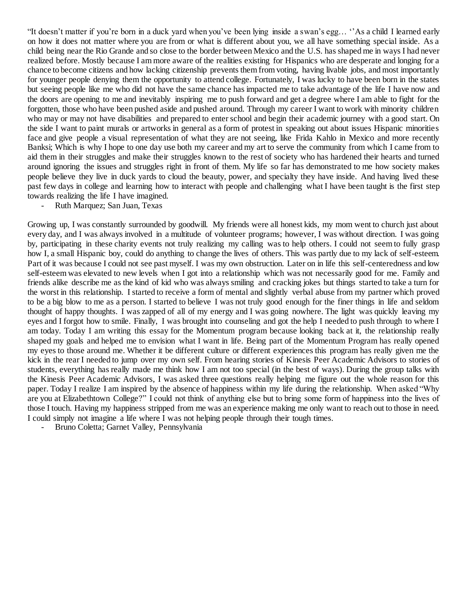"It doesn't matter if you're born in a duck yard when you've been lying inside a swan's egg… ''As a child I learned early on how it does not matter where you are from or what is different about you, we all have something special inside. As a child being near the Rio Grande and so close to the border between Mexico and the U.S. has shaped me in ways I had never realized before. Mostly because I am more aware of the realities existing for Hispanics who are desperate and longing for a chance to become citizens and how lacking citizenship prevents them from voting, having livable jobs, and most importantly for younger people denying them the opportunity to attend college. Fortunately, I was lucky to have been born in the states but seeing people like me who did not have the same chance has impacted me to take advantage of the life I have now and the doors are opening to me and inevitably inspiring me to push forward and get a degree where I am able to fight for the forgotten, those who have been pushed aside and pushed around. Through my career I want to work with minority children who may or may not have disabilities and prepared to enter school and begin their academic journey with a good start. On the side I want to paint murals or artworks in general as a form of protest in speaking out about issues Hispanic minorities face and give people a visual representation of what they are not seeing, like Frida Kahlo in Mexico and more recently Banksi; Which is why I hope to one day use both my career and my art to serve the community from which I came from to aid them in their struggles and make their struggles known to the rest of society who has hardened their hearts and turned around ignoring the issues and struggles right in front of them. My life so far has demonstrated to me how society makes people believe they live in duck yards to cloud the beauty, power, and specialty they have inside. And having lived these past few days in college and learning how to interact with people and challenging what I have been taught is the first step towards realizing the life I have imagined.

- Ruth Marquez; San Juan, Texas

Growing up, I was constantly surrounded by goodwill. My friends were all honest kids, my mom went to church just about every day, and I was always involved in a multitude of volunteer programs; however, I was without direction. I was going by, participating in these charity events not truly realizing my calling was to help others. I could not seem to fully grasp how I, a small Hispanic boy, could do anything to change the lives of others. This was partly due to my lack of self-esteem. Part of it was because I could not see past myself. I was my own obstruction. Later on in life this self-centeredness and low self-esteem was elevated to new levels when I got into a relationship which was not necessarily good for me. Family and friends alike describe me as the kind of kid who was always smiling and cracking jokes but things started to take a turn for the worst in this relationship. I started to receive a form of mental and slightly verbal abuse from my partner which proved to be a big blow to me as a person. I started to believe I was not truly good enough for the finer things in life and seldom thought of happy thoughts. I was zapped of all of my energy and I was going nowhere. The light was quickly leaving my eyes and I forgot how to smile. Finally, I was brought into counseling and got the help I needed to push through to where I am today. Today I am writing this essay for the Momentum program because looking back at it, the relationship really shaped my goals and helped me to envision what I want in life. Being part of the Momentum Program has really opened my eyes to those around me. Whether it be different culture or different experiences this program has really given me the kick in the rear I needed to jump over my own self. From hearing stories of Kinesis Peer Academic Advisors to stories of students, everything has really made me think how I am not too special (in the best of ways). During the group talks with the Kinesis Peer Academic Advisors, I was asked three questions really helping me figure out the whole reason for this paper. Today I realize I am inspired by the absence of happiness within my life during the relationship. When asked "Why are you at Elizabethtown College?" I could not think of anything else but to bring some form of happiness into the lives of those I touch. Having my happiness stripped from me was an experience making me only want to reach out to those in need. I could simply not imagine a life where I was not helping people through their tough times.

Bruno Coletta; Garnet Valley, Pennsylvania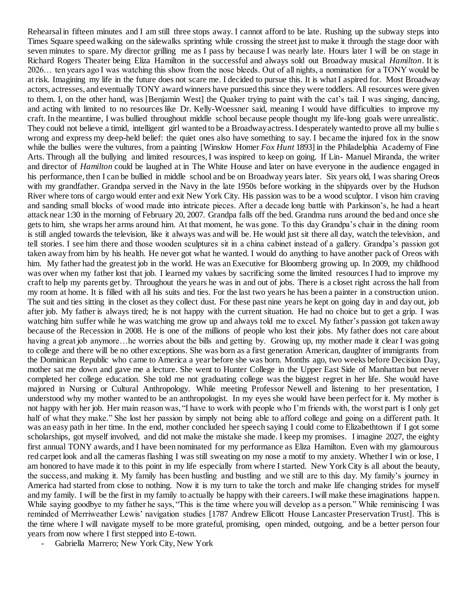Rehearsal in fifteen minutes and I am still three stops away. I cannot afford to be late. Rushing up the subway steps into Times Square speed walking on the sidewalks sprinting while crossing the street just to make it through the stage door with seven minutes to spare. My director grilling me as I pass by because I was nearly late. Hours later I will be on stage in Richard Rogers Theater being Eliza Hamilton in the successful and always sold out Broadway musical *Hamilton*. It is 2026… ten years ago I was watching this show from the nose bleeds. Out of all nights, a nomination for a TONY would be at risk. Imagining my life in the future does not scare me. I decided to pursue this. It is what I aspired for. Most Broadway actors, actresses, and eventually TONY award winners have pursued this since they were toddlers. All resources were given to them. I, on the other hand, was [Benjamin West] the Quaker trying to paint with the cat's tail. I was singing, dancing, and acting with limited to no resources like Dr. Kelly-Woessner said, meaning I would have difficulties to improve my craft. In the meantime, I was bullied throughout middle school because people thought my life-long goals were unrealistic. They could not believe a timid, intelligent girl wanted to be a Broadway actress. I desperately wanted to prove all my bullie s wrong and express my deep-held belief: the quiet ones also have something to say. I became the injured fox in the snow while the bullies were the vultures, from a painting [Winslow Homer *Fox Hunt* 1893] in the Philadelphia Academy of Fine Arts. Through all the bullying and limited resources, I was inspired to keep on going. If Lin- Manuel Miranda, the writer and director of *Hamilton* could be laughed at in The White House and later on have everyone in the audience engaged in his performance, then I can be bullied in middle school and be on Broadway years later. Six years old, I was sharing Oreos with my grandfather. Grandpa served in the Navy in the late 1950s before working in the shipyards over by the Hudson River where tons of cargo would enter and exit New York City. His passion was to be a wood sculptor. I vison him craving and sanding small blocks of wood made into intricate pieces. After a decade long battle with Parkinson's, he had a heart attack near 1:30 in the morning of February 20, 2007. Grandpa falls off the bed. Grandma runs around the bed and once she gets to him, she wraps her arms around him. At that moment, he was gone. To this day Grandpa's chair in the dining room is still angled towards the television, like it always was and will be. He would just sit there all day, watch the television, and tell stories. I see him there and those wooden sculptures sit in a china cabinet instead of a gallery. Grandpa's passion got taken away from him by his health. He never got what he wanted. I would do anything to have another pack of Oreos with him. My father had the greatest job in the world. He was an Executive for Bloomberg growing up. In 2009, my childhood was over when my father lost that job. I learned my values by sacrificing some the limited resources I had to improve my craft to help my parents get by. Throughout the years he was in and out of jobs. There is a closet right across the hall from my room at home. It is filled with all his suits and ties. For the last two years he has been a painter in a construction union. The suit and ties sitting in the closet as they collect dust. For these past nine years he kept on going day in and day out, job after job. My father is always tired; he is not happy with the current situation. He had no choice but to get a grip. I was watching him suffer while he was watching me grow up and always told me to excel. My father's passion got taken away because of the Recession in 2008. He is one of the millions of people who lost their jobs. My father does not care about having a great job anymore…he worries about the bills and getting by. Growing up, my mother made it clear I was going to college and there will be no other exceptions. She was born as a first generation American, daughter of immigrants from the Dominican Republic who came to America a year before she was born. Months ago, two weeks before Decision Day, mother sat me down and gave me a lecture. She went to Hunter College in the Upper East Side of Manhattan but never completed her college education. She told me not graduating college was the biggest regret in her life. She would have majored in Nursing or Cultural Anthropology. While meeting Professor Newell and listening to her presentation, I understood why my mother wanted to be an anthropologist. In my eyes she would have been perfect for it. My mother is not happy with her job. Her main reason was, "I have to work with people who I'm friends with, the worst part is I only get half of what they make." She lost her passion by simply not being able to afford college and going on a different path. It was an easy path in her time. In the end, mother concluded her speech saying I could come to Elizabethtown if I got some scholarships, got myself involved, and did not make the mistake she made. I keep my promises. I imagine 2027, the eighty first annual TONY awards, and I have been nominated for my performance as Eliza Hamilton. Even with my glamourous red carpet look and all the cameras flashing I was still sweating on my nose a motif to my anxiety. Whether I win or lose, I am honored to have made it to this point in my life especially from where I started. New York City is all about the beauty, the success, and making it. My family has been hustling and bustling and we still are to this day. My family's journey in America had started from close to nothing. Now it is my turn to take the torch and make life changing strides for myself and my family. I will be the first in my family to actually be happy with their careers. I will make these imaginations happen. While saying goodbye to my father he says, "This is the time where you will develop as a person." While reminiscing I was reminded of Merriweather Lewis' navigation studies [1787 Andrew Ellicott House Lancaster Preservation Trust]. This is the time where I will navigate myself to be more grateful, promising, open minded, outgoing, and be a better person four years from now where I first stepped into E-town.

- Gabriella Marrero; New York City, New York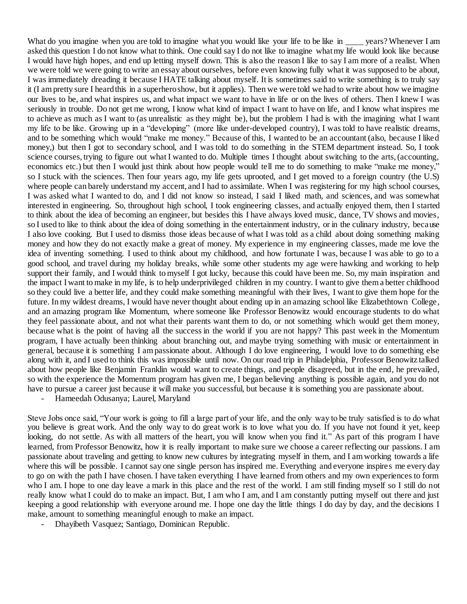What do you imagine when you are told to imagine what you would like your life to be like in \_\_\_\_ years? Whenever I am asked this question I do not know what to think. One could say I do not like to imagine what my life would look like because I would have high hopes, and end up letting myself down. This is also the reason I like to say I am more of a realist. When we were told we were going to write an essay about ourselves, before even knowing fully what it was supposed to be about, I was immediately dreading it because I HATE talking about myself. It is sometimes said to write something is to truly say it (I am pretty sure I heard this in a superhero show, but it applies). Then we were told we had to write about how we imagine our lives to be, and what inspires us, and what impact we want to have in life or on the lives of others. Then I knew I was seriously in trouble. Do not get me wrong, I know what kind of impact I want to have on life, and I know what inspires me to achieve as much as I want to (as unrealistic as they might be), but the problem I had is with the imagining what I want my life to be like. Growing up in a "developing" (more like under-developed country), I was told to have realistic dreams, and to be something which would "make me money." Because of this, I wanted to be an accountant (also, because I liked money,) but then I got to secondary school, and I was told to do something in the STEM department instead. So, I took science courses, trying to figure out what I wanted to do. Multiple times I thought about switching to the arts, (accounting, economics etc.) but then I would just think about how people would tell me to do something to make "make me money," so I stuck with the sciences. Then four years ago, my life gets uprooted, and I get moved to a foreign country (the U.S) where people can barely understand my accent, and I had to assimilate. When I was registering for my high school courses, I was asked what I wanted to do, and I did not know so instead, I said I liked math, and sciences, and was somewhat interested in engineering. So, throughout high school, I took engineering classes, and actually enjoyed them, then I started to think about the idea of becoming an engineer, but besides this I have always loved music, dance, TV shows and movies, so I used to like to think about the idea of doing something in the entertainment industry, or in the culinary industry, because I also love cooking. But I used to dismiss those ideas because of what I was told as a child about doing something making money and how they do not exactly make a great of money. My experience in my engineering classes, made me love the idea of inventing something. I used to think about my childhood, and how fortunate I was, because I was able to go to a good school, and travel during my holiday breaks, while some other students my age were hawking and working to help support their family, and I would think to myself I got lucky, because this could have been me. So, my main inspiration and the impact I want to make in my life, is to help underprivileged children in my country. I want to give them a better childhood so they could live a better life, and they could make something meaningful with their lives, I want to give them hope for the future. In my wildest dreams, I would have never thought about ending up in an amazing school like Elizabethtown College, and an amazing program like Momentum, where someone like Professor Benowitz would encourage students to do what they feel passionate about, and not what their parents want them to do, or not something which would get them money, because what is the point of having all the success in the world if you are not happy? This past week in the Momentum program, I have actually been thinking about branching out, and maybe trying something with music or entertainment in general, because it is something I am passionate about. Although I do love engineering, I would love to do something else along with it, and I used to think this was impossible until now. On our road trip in Philadelphia, Professor Benowitz talked about how people like Benjamin Franklin would want to create things, and people disagreed, but in the end, he prevailed, so with the experience the Momentum program has given me, I began believing anything is possible again, and you do not have to pursue a career just because it will make you successful, but because it is something you are passionate about.

- Hameedah Odusanya; Laurel, Maryland

Steve Jobs once said, "Your work is going to fill a large part of your life, and the only way to be truly satisfied is to do what you believe is great work. And the only way to do great work is to love what you do. If you have not found it yet, keep looking, do not settle. As with all matters of the heart, you will know when you find it." As part of this program I have learned, from Professor Benowitz, how it is really important to make sure we choose a career reflecting our passions. I am passionate about traveling and getting to know new cultures by integrating myself in them, and I am working towards a life where this will be possible. I cannot say one single person has inspired me. Everything and everyone inspires me every day to go on with the path I have chosen. I have taken everything I have learned from others and my own experiences to form who I am. I hope to one day leave a mark in this place and the rest of the world. I am still finding myself so I still do not really know what I could do to make an impact. But, I am who I am, and I am constantly putting myself out there and just keeping a good relationship with everyone around me. I hope one day the little things I do day by day, and the decisions I make, amount to something meaningful enough to make an impact.

- Dhayibeth Vasquez; Santiago, Dominican Republic.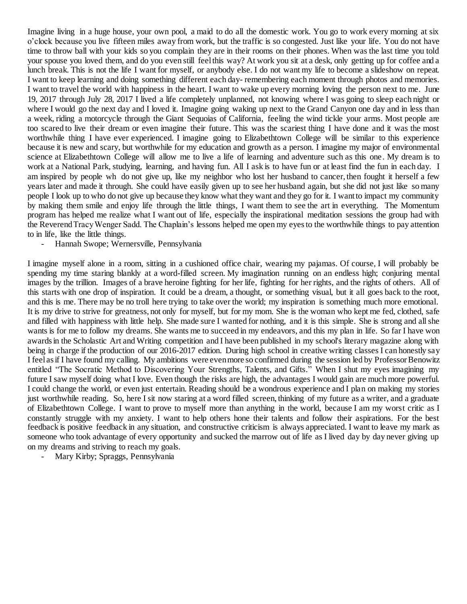Imagine living in a huge house, your own pool, a maid to do all the domestic work. You go to work every morning at six o'clock because you live fifteen miles away from work, but the traffic is so congested. Just like your life. You do not have time to throw ball with your kids so you complain they are in their rooms on their phones. When was the last time you told your spouse you loved them, and do you even still feel this way? At work you sit at a desk, only getting up for coffee and a lunch break. This is not the life I want for myself, or anybody else. I do not want my life to become a slideshow on repeat. I want to keep learning and doing something different each day- remembering each moment through photos and memories. I want to travel the world with happiness in the heart. I want to wake up every morning loving the person next to me. June 19, 2017 through July 28, 2017 I lived a life completely unplanned, not knowing where I was going to sleep each night or where I would go the next day and I loved it. Imagine going waking up next to the Grand Canyon one day and in less than a week, riding a motorcycle through the Giant Sequoias of California, feeling the wind tickle your arms. Most people are too scared to live their dream or even imagine their future. This was the scariest thing I have done and it was the most worthwhile thing I have ever experienced. I imagine going to Elizabethtown College will be similar to this experience because it is new and scary, but worthwhile for my education and growth as a person. I imagine my major of environmental science at Elizabethtown College will allow me to live a life of learning and adventure such as this one. My dream is to work at a National Park, studying, learning, and having fun. All I ask is to have fun or at least find the fun in each day. I am inspired by people wh do not give up, like my neighbor who lost her husband to cancer, then fought it herself a few years later and made it through. She could have easily given up to see her husband again, but she did not just like so many people I look up to who do not give up because they know what they want and they go for it. I want to impact my community by making them smile and enjoy life through the little things, I want them to see the art in everything. The Momentum program has helped me realize what I want out of life, especially the inspirational meditation sessions the group had with the Reverend Tracy Wenger Sadd. The Chaplain's lessons helped me open my eyes to the worthwhile things to pay attention to in life, like the little things.

- Hannah Swope; Wernersville, Pennsylvania

I imagine myself alone in a room, sitting in a cushioned office chair, wearing my pajamas. Of course, I will probably be spending my time staring blankly at a word-filled screen. My imagination running on an endless high; conjuring mental images by the trillion. Images of a brave heroine fighting for her life, fighting for her rights, and the rights of others. All of this starts with one drop of inspiration. It could be a dream, a thought, or something visual, but it all goes back to the root, and this is me. There may be no troll here trying to take over the world; my inspiration is something much more emotional. It is my drive to strive for greatness, not only for myself, but for my mom. She is the woman who kept me fed, clothed, safe and filled with happiness with little help. She made sure I wanted for nothing, and it is this simple. She is strong and all she wants is for me to follow my dreams. She wants me to succeed in my endeavors, and this my plan in life. So far I have won awards in the Scholastic Art and Writing competition and I have been published in my school's literary magazine along with being in charge if the production of our 2016-2017 edition. During high school in creative writing classes I can honestly say I feel as if I have found my calling. My ambitions were even more so confirmed during the session led by Professor Benowitz entitled "The Socratic Method to Discovering Your Strengths, Talents, and Gifts." When I shut my eyes imagining my future I saw myself doing what I love. Even though the risks are high, the advantages I would gain are much more powerful. I could change the world, or even just entertain. Reading should be a wondrous experience and I plan on making my stories just worthwhile reading. So, here I sit now staring at a word filled screen, thinking of my future as a writer, and a graduate of Elizabethtown College. I want to prove to myself more than anything in the world, because I am my worst critic as I constantly struggle with my anxiety. I want to help others hone their talents and follow their aspirations. For the best feedback is positive feedback in any situation, and constructive criticism is always appreciated. I want to leave my mark as someone who took advantage of every opportunity and sucked the marrow out of life as I lived day by day never giving up on my dreams and striving to reach my goals.

Mary Kirby; Spraggs, Pennsylvania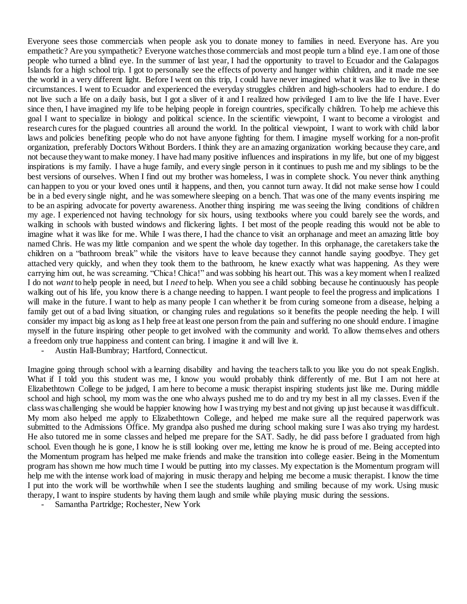Everyone sees those commercials when people ask you to donate money to families in need. Everyone has. Are you empathetic? Are you sympathetic? Everyone watches those commercials and most people turn a blind eye. I am one of those people who turned a blind eye. In the summer of last year, I had the opportunity to travel to Ecuador and the Galapagos Islands for a high school trip. I got to personally see the effects of poverty and hunger within children, and it made me see the world in a very different light. Before I went on this trip, I could have never imagined what it was like to live in these circumstances. I went to Ecuador and experienced the everyday struggles children and high-schoolers had to endure. I do not live such a life on a daily basis, but I got a sliver of it and I realized how privileged I am to live the life I have. Ever since then, I have imagined my life to be helping people in foreign countries, specifically children. To help me achieve this goal I want to specialize in biology and political science. In the scientific viewpoint, I want to become a virologist and research cures for the plagued countries all around the world. In the political viewpoint, I want to work with child labor laws and policies benefiting people who do not have anyone fighting for them. I imagine myself working for a non-profit organization, preferably Doctors Without Borders. I think they are an amazing organization working because they care, and not because they want to make money. I have had many positive influences and inspirations in my life, but one of my biggest inspirations is my family. I have a huge family, and every single person in it continues to push me and my siblings to be the best versions of ourselves. When I find out my brother was homeless, I was in complete shock. You never think anything can happen to you or your loved ones until it happens, and then, you cannot turn away. It did not make sense how I could be in a bed every single night, and he was somewhere sleeping on a bench. That was one of the many events inspiring me to be an aspiring advocate for poverty awareness. Another thing inspiring me was seeing the living conditions of children my age. I experienced not having technology for six hours, using textbooks where you could barely see the words, and walking in schools with busted windows and flickering lights. I bet most of the people reading this would not be able to imagine what it was like for me. While I was there, I had the chance to visit an orphanage and meet an amazing little boy named Chris. He was my little companion and we spent the whole day together. In this orphanage, the caretakers take the children on a "bathroom break" while the visitors have to leave because they cannot handle saying goodbye. They get attached very quickly, and when they took them to the bathroom, he knew exactly what was happening. As they were carrying him out, he was screaming. "Chica! Chica!" and was sobbing his heart out. This was a key moment when I realized I do not *want* to help people in need, but I *need* to help. When you see a child sobbing because he continuously has people walking out of his life, you know there is a change needing to happen. I want people to feel the progress and implications I will make in the future. I want to help as many people I can whether it be from curing someone from a disease, helping a family get out of a bad living situation, or changing rules and regulations so it benefits the people needing the help. I will consider my impact big as long as I help free at least one person from the pain and suffering no one should endure. I imagine myself in the future inspiring other people to get involved with the community and world. To allow themselves and others a freedom only true happiness and content can bring. I imagine it and will live it.

- Austin Hall-Bumbray; Hartford, Connecticut.

Imagine going through school with a learning disability and having the teachers talk to you like you do not speak English. What if I told you this student was me, I know you would probably think differently of me. But I am not here at Elizabethtown College to be judged, I am here to become a music therapist inspiring students just like me. During middle school and high school, my mom was the one who always pushed me to do and try my best in all my classes. Even if the class was challenging she would be happier knowing how I was trying my best and not giving up just because it was difficult. My mom also helped me apply to Elizabethtown College, and helped me make sure all the required paperwork was submitted to the Admissions Office. My grandpa also pushed me during school making sure I was also trying my hardest. He also tutored me in some classes and helped me prepare for the SAT. Sadly, he did pass before I graduated from high school. Even though he is gone, I know he is still looking over me, letting me know he is proud of me. Being accepted into the Momentum program has helped me make friends and make the transition into college easier. Being in the Momentum program has shown me how much time I would be putting into my classes. My expectation is the Momentum program will help me with the intense work load of majoring in music therapy and helping me become a music therapist. I know the time I put into the work will be worthwhile when I see the students laughing and smiling because of my work. Using music therapy, I want to inspire students by having them laugh and smile while playing music during the sessions.

Samantha Partridge; Rochester, New York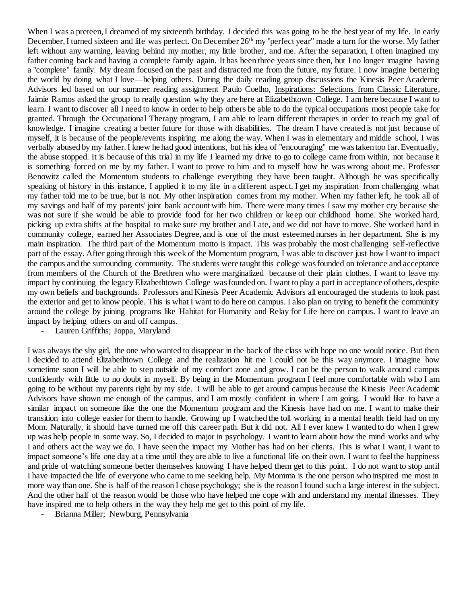When I was a preteen, I dreamed of my sixteenth birthday. I decided this was going to be the best year of my life. In early December, I turned sixteen and life was perfect. On December 26<sup>th</sup> my "perfect year" made a turn for the worse. My father left without any warning, leaving behind my mother, my little brother, and me. After the separation, I often imagined my father coming back and having a complete family again. It has been three years since then, but I no longer imagine having a "complete" family. My dream focused on the past and distracted me from the future, my future. I now imagine bettering the world by doing what I love—helping others. During the daily reading group discussions the Kinesis Peer Academic Advisors led based on our summer reading assignment Paulo Coelho, Inspirations: Selections from Classic Literature, Jaimie Ramos asked the group to really question why they are here at Elizabethtown College. I am here because I want to learn. I want to discover all I need to know in order to help others be able to do the typical occupations most people take for granted. Through the Occupational Therapy program, I am able to learn different therapies in order to reach my goal of knowledge. I imagine creating a better future for those with disabilities. The dream I have created is not just because of myself, it is because of the people/events inspiring me along the way. When I was in elementary and middle school, I was verbally abused by my father. I knew he had good intentions, but his idea of "encouraging" me was taken too far. Eventually, the abuse stopped. It is because of this trial in my life I learned my drive to go to college came from within, not because it is something forced on me by my father. I want to prove to him and to myself how he was wrong about me. Professor Benowitz called the Momentum students to challenge everything they have been taught. Although he was specifically speaking of history in this instance, I applied it to my life in a different aspect. I get my inspiration from challenging what my father told me to be true, but is not. My other inspiration comes from my mother. When my father left, he took all of my savings and half of my parents' joint bank account with him. There were many times I saw my mother cry because she was not sure if she would be able to provide food for her two children or keep our childhood home. She worked hard, picking up extra shifts at the hospital to make sure my brother and I ate, and we did not have to move. She worked hard in community college, earned her Associates Degree, and is one of the most esteemed nurses in her department. She is my main inspiration. The third part of the Momentum motto is impact. This was probably the most challenging self-reflective part of the essay. After going through this week of the Momentum program. I was able to discover just how I want to impact the campus and the surrounding community. The students were taught this college was founded on tolerance and acceptance from members of the Church of the Brethren who were marginalized because of their plain clothes. I want to leave my impact by continuing the legacy Elizabethtown College was founded on. I want to play a part in acceptance of others, despite my own beliefs and backgrounds. Professors and Kinesis Peer Academic Advisors all encouraged the students to look past the exterior and get to know people. This is what I want to do here on campus. I also plan on trying to benefit the community around the college by joining programs like Habitat for Humanity and Relay for Life here on campus. I want to leave an impact by helping others on and off campus.

Lauren Griffiths; Joppa, Maryland

I was always the shy girl, the one who wanted to disappear in the back of the class with hope no one would notice. But then I decided to attend Elizabethtown College and the realization hit me I could not be this way anymore. I imagine how sometime soon I will be able to step outside of my comfort zone and grow. I can be the person to walk around campus confidently with little to no doubt in myself. By being in the Momentum program I feel more comfortable with who I am going to be without my parents right by my side. I will be able to get around campus because the Kinesis Peer Academic Advisors have shown me enough of the campus, and I am mostly confident in where I am going. I would like to have a similar impact on someone like the one the Momentum program and the Kinesis have had on me. I want to make their transition into college easier for them to handle. Growing up I watched the toll working in a mental health field had on my Mom. Naturally, it should have turned me off this career path. But it did not. All I ever knew I wanted to do when I grew up was help people in some way. So, I decided to major in psychology. I want to learn about how the mind works and why I and others act the way we do. I have seen the impact my Mother has had on her clients. This is what I want, I want to impact someone's life one day at a time until they are able to live a functional life on their own. I want to feel the happiness and pride of watching someone better themselves knowing I have helped them get to this point. I do not want to stop until I have impacted the life of everyone who came to me seeking help. My Momma is the one person who inspired me most in more way than one. She is half of the reason I chose psychology; she is the reason I found such a large interest in the subject. And the other half of the reason would be those who have helped me cope with and understand my mental illnesses. They have inspired me to help others in the way they help me get to this point of my life.

- Brianna Miller; Newburg, Pennsylvania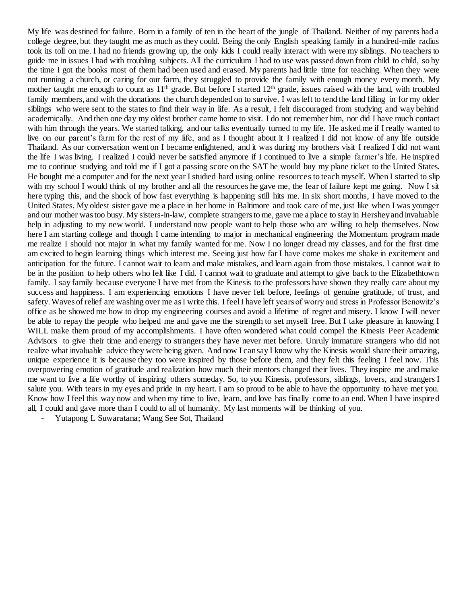My life was destined for failure. Born in a family of ten in the heart of the jungle of Thailand. Neither of my parents had a college degree, but they taught me as much as they could. Being the only English speaking family in a hundred-mile radius took its toll on me. I had no friends growing up, the only kids I could really interact with were my siblings. No teachers to guide me in issues I had with troubling subjects. All the curriculum I had to use was passed down from child to child, so by the time I got the books most of them had been used and erased. My parents had little time for teaching. When they were not running a church, or caring for our farm, they struggled to provide the family with enough money every month. My mother taught me enough to count as 11<sup>th</sup> grade. But before I started 12<sup>th</sup> grade, issues raised with the land, with troubled family members, and with the donations the church depended on to survive. I was left to tend the land filling in for my older siblings who were sent to the states to find their way in life. As a result, I felt discouraged from studying and way behind academically. And then one day my oldest brother came home to visit. I do not remember him, nor did I have much contact with him through the years. We started talking, and our talks eventually turned to my life. He asked me if I really wanted to live on our parent's farm for the rest of my life, and as I thought about it I realized I did not know of any life outside Thailand. As our conversation went on I became enlightened, and it was during my brothers visit I realized I did not want the life I was living. I realized I could never be satisfied anymore if I continued to live a simple farmer's life. He inspired me to continue studying and told me if I got a passing score on the SAT he would buy my plane ticket to the United States. He bought me a computer and for the next year I studied hard using online resources to teach myself. When I started to slip with my school I would think of my brother and all the resources he gave me, the fear of failure kept me going. Now I sit here typing this, and the shock of how fast everything is happening still hits me. In six short months, I have moved to the United States. My oldest sister gave me a place in her home in Baltimore and took care of me, just like when I was younger and our mother was too busy. My sisters-in-law, complete strangers to me, gave me a place to stay in Hershey and invaluable help in adjusting to my new world. I understand now people want to help those who are willing to help themselves. Now here I am starting college and though I came intending to major in mechanical engineering the Momentum program made me realize I should not major in what my family wanted for me. Now I no longer dread my classes, and for the first time am excited to begin learning things which interest me. Seeing just how far I have come makes me shake in excitement and anticipation for the future. I cannot wait to learn and make mistakes, and learn again from those mistakes. I cannot wait to be in the position to help others who felt like I did. I cannot wait to graduate and attempt to give back to the Elizabethtown family. I say family because everyone I have met from the Kinesis to the professors have shown they really care about my success and happiness. I am experiencing emotions I have never felt before, feelings of genuine gratitude, of trust, and safety. Waves of relief are washing over me as I write this. I feel I have left years of worry and stress in Professor Benowitz's office as he showed me how to drop my engineering courses and avoid a lifetime of regret and misery. I know I will never be able to repay the people who helped me and gave me the strength to set myself free. But I take pleasure in knowing I WILL make them proud of my accomplishments. I have often wondered what could compel the Kinesis Peer Academic Advisors to give their time and energy to strangers they have never met before. Unruly immature strangers who did not realize what invaluable advice they were being given. And now I can say I know why the Kinesis would share their amazing, unique experience it is because they too were inspired by those before them, and they felt this feeling I feel now. This overpowering emotion of gratitude and realization how much their mentors changed their lives. They inspire me and make me want to live a life worthy of inspiring others someday. So, to you Kinesis, professors, siblings, lovers, and strangers I salute you. With tears in my eyes and pride in my heart. I am so proud to be able to have the opportunity to have met you. Know how I feel this way now and when my time to live, learn, and love has finally come to an end. When I have inspired all, I could and gave more than I could to all of humanity. My last moments will be thinking of you.

Yutapong L Suwaratana; Wang See Sot, Thailand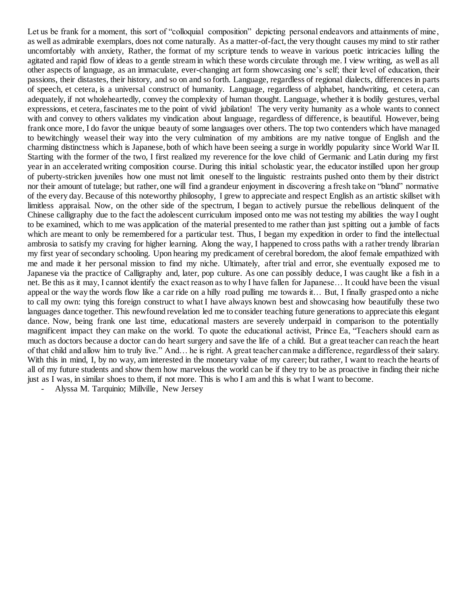Let us be frank for a moment, this sort of "colloquial composition" depicting personal endeavors and attainments of mine, as well as admirable exemplars, does not come naturally. As a matter-of-fact, the very thought causes my mind to stir rather uncomfortably with anxiety, Rather, the format of my scripture tends to weave in various poetic intricacies lulling the agitated and rapid flow of ideas to a gentle stream in which these words circulate through me. I view writing, as well as all other aspects of language, as an immaculate, ever-changing art form showcasing one's self; their level of education, their passions, their distastes, their history, and so on and so forth. Language, regardless of regional dialects, differences in parts of speech, et cetera, is a universal construct of humanity. Language, regardless of alphabet, handwriting, et cetera, can adequately, if not wholeheartedly, convey the complexity of human thought. Language, whether it is bodily gestures, verbal expressions, et cetera, fascinates me to the point of vivid jubilation! The very verity humanity as a whole wants to connect with and convey to others validates my vindication about language, regardless of difference, is beautiful. However, being frank once more, I do favor the unique beauty of some languages over others. The top two contenders which have managed to bewitchingly weasel their way into the very culmination of my ambitions are my native tongue of English and the charming distinctness which is Japanese, both of which have been seeing a surge in worldly popularity since World War II. Starting with the former of the two, I first realized my reverence for the love child of Germanic and Latin during my first year in an accelerated writing composition course. During this initial scholastic year, the educator instilled upon her group of puberty-stricken juveniles how one must not limit oneself to the linguistic restraints pushed onto them by their district nor their amount of tutelage; but rather, one will find a grandeur enjoyment in discovering a fresh take on "bland" normative of the every day. Because of this noteworthy philosophy, I grew to appreciate and respect English as an artistic skillset with limitless appraisal. Now, on the other side of the spectrum, I began to actively pursue the rebellious delinquent of the Chinese calligraphy due to the fact the adolescent curriculum imposed onto me was not testing my abilities the way I ought to be examined, which to me was application of the material presented to me rather than just spitting out a jumble of facts which are meant to only be remembered for a particular test. Thus, I began my expedition in order to find the intellectual ambrosia to satisfy my craving for higher learning. Along the way, I happened to cross paths with a rather trendy librarian my first year of secondary schooling. Upon hearing my predicament of cerebral boredom, the aloof female empathized with me and made it her personal mission to find my niche. Ultimately, after trial and error, she eventually exposed me to Japanese via the practice of Calligraphy and, later, pop culture. As one can possibly deduce, I was caught like a fish in a net. Be this as it may, I cannot identify the exact reason as to why I have fallen for Japanese… It could have been the visual appeal or the way the words flow like a car ride on a hilly road pulling me towards it… But, I finally grasped onto a niche to call my own: tying this foreign construct to what I have always known best and showcasing how beautifully these two languages dance together. This newfound revelation led me to consider teaching future generations to appreciate this elegant dance. Now, being frank one last time, educational masters are severely underpaid in comparison to the potentially magnificent impact they can make on the world. To quote the educational activist, Prince Ea, "Teachers should earn as much as doctors because a doctor can do heart surgery and save the life of a child. But a great teacher can reach the heart of that child and allow him to truly live." And… he is right. A great teacher can make a difference, regardless of their salary. With this in mind, I, by no way, am interested in the monetary value of my career; but rather, I want to reach the hearts of all of my future students and show them how marvelous the world can be if they try to be as proactive in finding their niche just as I was, in similar shoes to them, if not more. This is who I am and this is what I want to become.

- Alyssa M. Tarquinio; Millville, New Jersey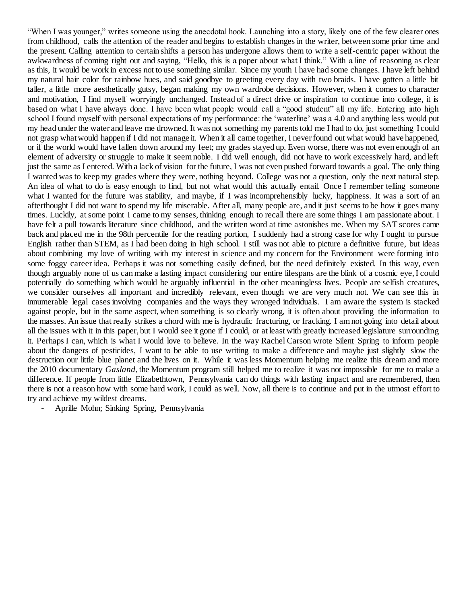"When I was younger," writes someone using the anecdotal hook. Launching into a story, likely one of the few clearer ones from childhood, calls the attention of the reader and begins to establish changes in the writer, between some prior time and the present. Calling attention to certain shifts a person has undergone allows them to write a self-centric paper without the awkwardness of coming right out and saying, "Hello, this is a paper about what I think." With a line of reasoning as clear as this, it would be work in excess not to use something similar. Since my youth I have had some changes. I have left behind my natural hair color for rainbow hues, and said goodbye to greeting every day with two braids. I have gotten a little bit taller, a little more aesthetically gutsy, began making my own wardrobe decisions. However, when it comes to character and motivation, I find myself worryingly unchanged. Instead of a direct drive or inspiration to continue into college, it is based on what I have always done. I have been what people would call a "good student" all my life. Entering into high school I found myself with personal expectations of my performance: the 'waterline' was a 4.0 and anything less would put my head under the water and leave me drowned. It was not something my parents told me I had to do, just something I could not grasp what would happen if I did not manage it. When it all came together, I never found out what would have happened, or if the world would have fallen down around my feet; my grades stayed up. Even worse, there was not even enough of an element of adversity or struggle to make it seem noble. I did well enough, did not have to work excessively hard, and left just the same as I entered. With a lack of vision for the future, I was not even pushed forward towards a goal. The only thing I wanted was to keep my grades where they were, nothing beyond. College was not a question, only the next natural step. An idea of what to do is easy enough to find, but not what would this actually entail. Once I remember telling someone what I wanted for the future was stability, and maybe, if I was incomprehensibly lucky, happiness. It was a sort of an afterthought I did not want to spend my life miserable. After all, many people are, and it just seems to be how it goes many times. Luckily, at some point I came to my senses, thinking enough to recall there are some things I am passionate about. I have felt a pull towards literature since childhood, and the written word at time astonishes me. When my SAT scores came back and placed me in the 98th percentile for the reading portion, I suddenly had a strong case for why I ought to pursue English rather than STEM, as I had been doing in high school. I still was not able to picture a definitive future, but ideas about combining my love of writing with my interest in science and my concern for the Environment were forming into some foggy career idea. Perhaps it was not something easily defined, but the need definitely existed. In this way, even though arguably none of us can make a lasting impact considering our entire lifespans are the blink of a cosmic eye, I could potentially do something which would be arguably influential in the other meaningless lives. People are selfish creatures, we consider ourselves all important and incredibly relevant, even though we are very much not. We can see this in innumerable legal cases involving companies and the ways they wronged individuals. I am aware the system is stacked against people, but in the same aspect, when something is so clearly wrong, it is often about providing the information to the masses. An issue that really strikes a chord with me is hydraulic fracturing, or fracking. I am not going into detail about all the issues with it in this paper, but I would see it gone if I could, or at least with greatly increased legislature surrounding it. Perhaps I can, which is what I would love to believe. In the way Rachel Carson wrote Silent Spring to inform people about the dangers of pesticides, I want to be able to use writing to make a difference and maybe just slightly slow the destruction our little blue planet and the lives on it. While it was less Momentum helping me realize this dream and more the 2010 documentary *Gasland*, the Momentum program still helped me to realize it was not impossible for me to make a difference. If people from little Elizabethtown, Pennsylvania can do things with lasting impact and are remembered, then there is not a reason how with some hard work, I could as well. Now, all there is to continue and put in the utmost effort to try and achieve my wildest dreams.

- Aprille Mohn; Sinking Spring, Pennsylvania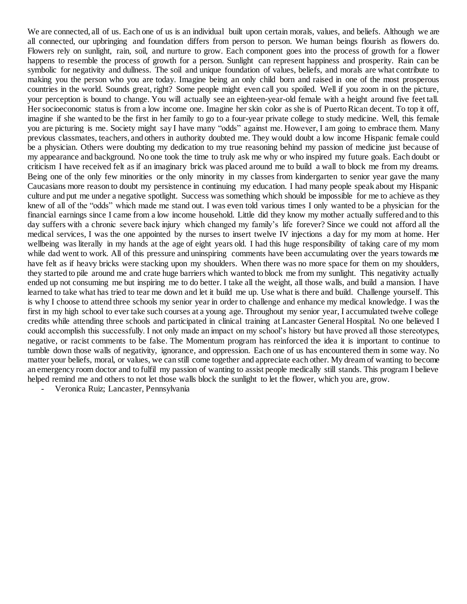We are connected, all of us. Each one of us is an individual built upon certain morals, values, and beliefs. Although we are all connected, our upbringing and foundation differs from person to person. We human beings flourish as flowers do. Flowers rely on sunlight, rain, soil, and nurture to grow. Each component goes into the process of growth for a flower happens to resemble the process of growth for a person. Sunlight can represent happiness and prosperity. Rain can be symbolic for negativity and dullness. The soil and unique foundation of values, beliefs, and morals are what contribute to making you the person who you are today. Imagine being an only child born and raised in one of the most prosperous countries in the world. Sounds great, right? Some people might even call you spoiled. Well if you zoom in on the picture, your perception is bound to change. You will actually see an eighteen-year-old female with a height around five feet tall. Her socioeconomic status is from a low income one. Imagine her skin color as she is of Puerto Rican decent. To top it off, imagine if she wanted to be the first in her family to go to a four-year private college to study medicine. Well, this female you are picturing is me. Society might say I have many "odds" against me. However, I am going to embrace them. Many previous classmates, teachers, and others in authority doubted me. They would doubt a low income Hispanic female could be a physician. Others were doubting my dedication to my true reasoning behind my passion of medicine just because of my appearance and background. No one took the time to truly ask me why or who inspired my future goals. Each doubt or criticism I have received felt as if an imaginary brick was placed around me to build a wall to block me from my dreams. Being one of the only few minorities or the only minority in my classes from kindergarten to senior year gave the many Caucasians more reason to doubt my persistence in continuing my education. I had many people speak about my Hispanic culture and put me under a negative spotlight. Success was something which should be impossible for me to achieve as they knew of all of the "odds" which made me stand out. I was even told various times I only wanted to be a physician for the financial earnings since I came from a low income household. Little did they know my mother actually suffered and to this day suffers with a chronic severe back injury which changed my family's life forever? Since we could not afford all the medical services, I was the one appointed by the nurses to insert twelve IV injections a day for my mom at home. Her wellbeing was literally in my hands at the age of eight years old. I had this huge responsibility of taking care of my mom while dad went to work. All of this pressure and uninspiring comments have been accumulating over the years towards me have felt as if heavy bricks were stacking upon my shoulders. When there was no more space for them on my shoulders, they started to pile around me and crate huge barriers which wanted to block me from my sunlight. This negativity actually ended up not consuming me but inspiring me to do better. I take all the weight, all those walls, and build a mansion. I have learned to take what has tried to tear me down and let it build me up. Use what is there and build. Challenge yourself. This is why I choose to attend three schools my senior year in order to challenge and enhance my medical knowledge. I was the first in my high school to ever take such courses at a young age. Throughout my senior year, I accumulated twelve college credits while attending three schools and participated in clinical training at Lancaster General Hospital. No one believed I could accomplish this successfully. I not only made an impact on my school's history but have proved all those stereotypes, negative, or racist comments to be false. The Momentum program has reinforced the idea it is important to continue to tumble down those walls of negativity, ignorance, and oppression. Each one of us has encountered them in some way. No matter your beliefs, moral, or values, we can still come together and appreciate each other. My dream of wanting to become an emergency room doctor and to fulfil my passion of wanting to assist people medically still stands. This program I believe helped remind me and others to not let those walls block the sunlight to let the flower, which you are, grow.

- Veronica Ruiz; Lancaster, Pennsylvania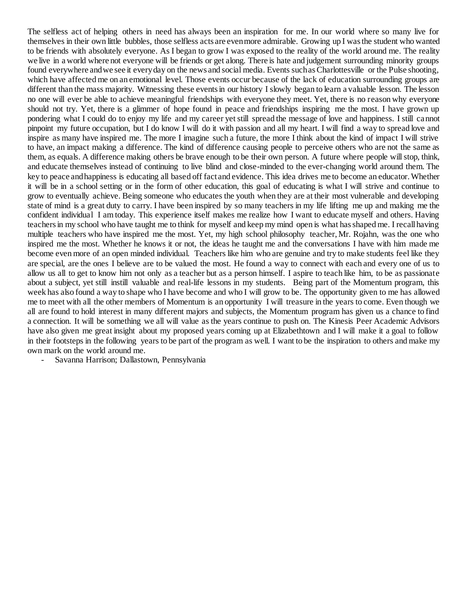The selfless act of helping others in need has always been an inspiration for me. In our world where so many live for themselves in their own little bubbles, those selfless acts are even more admirable. Growing up I was the student who wanted to be friends with absolutely everyone. As I began to grow I was exposed to the reality of the world around me. The reality we live in a world where not everyone will be friends or get along. There is hate and judgement surrounding minority groups found everywhere and we see it every day on the news and social media. Events such as Charlottesville or the Pulse shooting, which have affected me on an emotional level. Those events occur because of the lack of education surrounding groups are different than the mass majority. Witnessing these events in our history I slowly began to learn a valuable lesson. The lesson no one will ever be able to achieve meaningful friendships with everyone they meet. Yet, there is no reason why everyone should not try. Yet, there is a glimmer of hope found in peace and friendships inspiring me the most. I have grown up pondering what I could do to enjoy my life and my career yet still spread the message of love and happiness. I still cannot pinpoint my future occupation, but I do know I will do it with passion and all my heart. I will find a way to spread love and inspire as many have inspired me. The more I imagine such a future, the more I think about the kind of impact I will strive to have, an impact making a difference. The kind of difference causing people to perceive others who are not the same as them, as equals. A difference making others be brave enough to be their own person. A future where people will stop, think, and educate themselves instead of continuing to live blind and close-minded to the ever-changing world around them. The key to peace and happiness is educating all based off fact and evidence. This idea drives me to become an educator. Whether it will be in a school setting or in the form of other education, this goal of educating is what I will strive and continue to grow to eventually achieve. Being someone who educates the youth when they are at their most vulnerable and developing state of mind is a great duty to carry. I have been inspired by so many teachers in my life lifting me up and making me the confident individual I am today. This experience itself makes me realize how I want to educate myself and others. Having teachers in my school who have taught me to think for myself and keep my mind open is what has shaped me. I recall having multiple teachers who have inspired me the most. Yet, my high school philosophy teacher, Mr. Rojahn, was the one who inspired me the most. Whether he knows it or not, the ideas he taught me and the conversations I have with him made me become even more of an open minded individual. Teachers like him who are genuine and try to make students feel like they are special, are the ones I believe are to be valued the most. He found a way to connect with each and every one of us to allow us all to get to know him not only as a teacher but as a person himself. I aspire to teach like him, to be as passionate about a subject, yet still instill valuable and real-life lessons in my students. Being part of the Momentum program, this week has also found a way to shape who I have become and who I will grow to be. The opportunity given to me has allowed me to meet with all the other members of Momentum is an opportunity I will treasure in the years to come. Even though we all are found to hold interest in many different majors and subjects, the Momentum program has given us a chance to find a connection. It will be something we all will value as the years continue to push on. The Kinesis Peer Academic Advisors have also given me great insight about my proposed years coming up at Elizabethtown and I will make it a goal to follow in their footsteps in the following years to be part of the program as well. I want to be the inspiration to others and make my own mark on the world around me.

- Savanna Harrison; Dallastown, Pennsylvania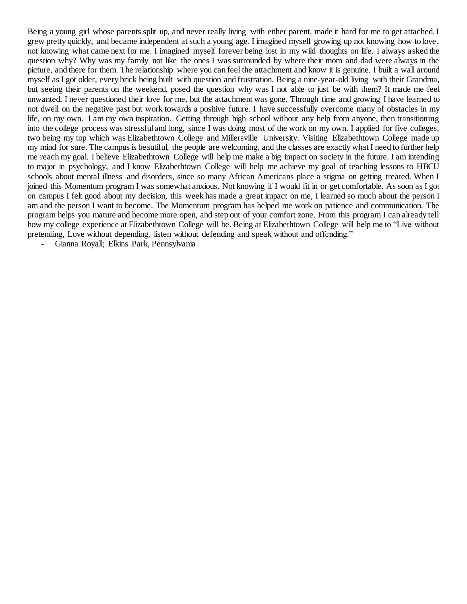Being a young girl whose parents split up, and never really living with either parent, made it hard for me to get attached. I grew pretty quickly, and became independent at such a young age. I imagined myself growing up not knowing how to love, not knowing what came next for me. I imagined myself forever being lost in my wild thoughts on life. I always asked the question why? Why was my family not like the ones I was surrounded by where their mom and dad were always in the picture, and there for them. The relationship where you can feel the attachment and know it is genuine. I built a wall around myself as I got older, every brick being built with question and frustration. Being a nine-year-old living with their Grandma, but seeing their parents on the weekend, posed the question why was I not able to just be with them? It made me feel unwanted. I never questioned their love for me, but the attachment was gone. Through time and growing I have learned to not dwell on the negative past but work towards a positive future. I have successfully overcome many of obstacles in my life, on my own. I am my own inspiration. Getting through high school without any help from anyone, then transitioning into the college process was stressful and long, since I was doing most of the work on my own. I applied for five colleges, two being my top which was Elizabethtown College and Millersville University. Visiting Elizabethtown College made up my mind for sure. The campus is beautiful, the people are welcoming, and the classes are exactly what I need to further help me reach my goal. I believe Elizabethtown College will help me make a big impact on society in the future. I am intending to major in psychology, and I know Elizabethtown College will help me achieve my goal of teaching lessons to HBCU schools about mental illness and disorders, since so many African Americans place a stigma on getting treated. When I joined this Momentum program I was somewhat anxious. Not knowing if I would fit in or get comfortable. As soon as I got on campus I felt good about my decision, this week has made a great impact on me, I learned so much about the person I am and the person I want to become. The Momentum program has helped me work on patience and communication. The program helps you mature and become more open, and step out of your comfort zone. From this program I can already tell how my college experience at Elizabethtown College will be. Being at Elizabethtown College will help me to "Live without pretending, Love without depending, listen without defending and speak without and offending."

- Gianna Royall; Elkins Park, Pennsylvania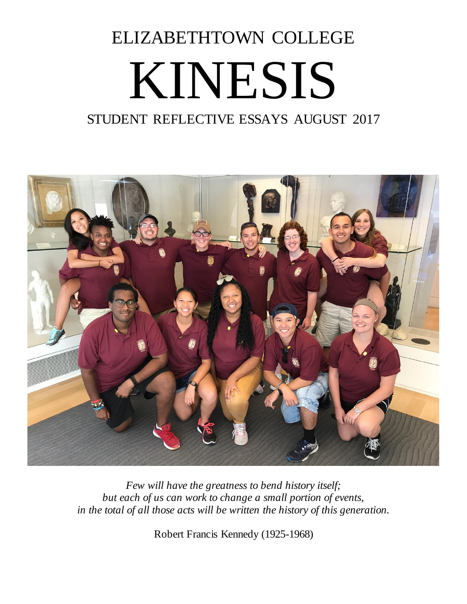## ELIZABETHTOWN COLLEGE KINESIS

## STUDENT REFLECTIVE ESSAYS AUGUST 2017



*Few will have the greatness to bend history itself; but each of us can work to change a small portion of events, in the total of all those acts will be written the history of this generation.*

Robert Francis Kennedy (1925-1968)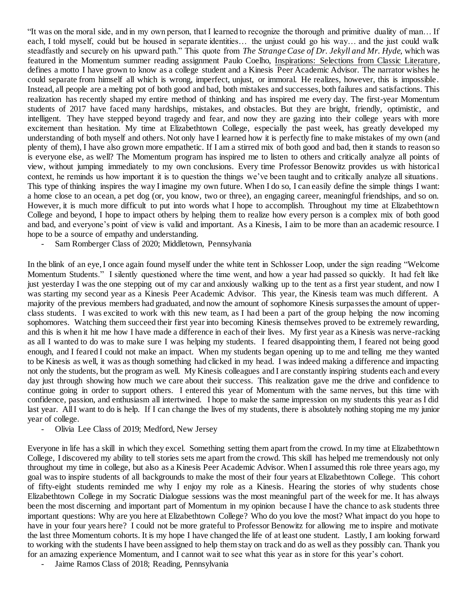"It was on the moral side, and in my own person, that I learned to recognize the thorough and primitive duality of man… If each, I told myself, could but be housed in separate identities… the unjust could go his way… and the just could walk steadfastly and securely on his upward path." This quote from *The Strange Case of Dr. Jekyll and Mr. Hyde,* which was featured in the Momentum summer reading assignment Paulo Coelho, Inspirations: Selections from Classic Literature, defines a motto I have grown to know as a college student and a Kinesis Peer Academic Advisor. The narrator wishes he could separate from himself all which is wrong, imperfect, unjust, or immoral. He realizes, however, this is impossible. Instead, all people are a melting pot of both good and bad, both mistakes and successes, both failures and satisfactions. This realization has recently shaped my entire method of thinking and has inspired me every day. The first-year Momentum students of 2017 have faced many hardships, mistakes, and obstacles. But they are bright, friendly, optimistic, and intelligent. They have stepped beyond tragedy and fear, and now they are gazing into their college years with more excitement than hesitation. My time at Elizabethtown College, especially the past week, has greatly developed my understanding of both myself and others. Not only have I learned how it is perfectly fine to make mistakes of my own (and plenty of them), I have also grown more empathetic. If I am a stirred mix of both good and bad, then it stands to reason so is everyone else, as well? The Momentum program has inspired me to listen to others and critically analyze all points of view, without jumping immediately to my own conclusions. Every time Professor Benowitz provides us with historical context, he reminds us how important it is to question the things we've been taught and to critically analyze all situations. This type of thinking inspires the way I imagine my own future. When I do so, I can easily define the simple things I want: a home close to an ocean, a pet dog (or, you know, two or three), an engaging career, meaningful friendships, and so on. However, it is much more difficult to put into words what I hope to accomplish. Throughout my time at Elizabethtown College and beyond, I hope to impact others by helping them to realize how every person is a complex mix of both good and bad, and everyone's point of view is valid and important. As a Kinesis, I aim to be more than an academic resource. I hope to be a source of empathy and understanding.

Sam Romberger Class of 2020; Middletown, Pennsylvania

In the blink of an eye, I once again found myself under the white tent in Schlosser Loop, under the sign reading "Welcome Momentum Students." I silently questioned where the time went, and how a year had passed so quickly. It had felt like just yesterday I was the one stepping out of my car and anxiously walking up to the tent as a first year student, and now I was starting my second year as a Kinesis Peer Academic Advisor. This year, the Kinesis team was much different. A majority of the previous members had graduated, and now the amount of sophomore Kinesis surpasses the amount of upperclass students. I was excited to work with this new team, as I had been a part of the group helping the now incoming sophomores. Watching them succeed their first year into becoming Kinesis themselves proved to be extremely rewarding, and this is when it hit me how I have made a difference in each of their lives. My first year as a Kinesis was nerve-racking as all I wanted to do was to make sure I was helping my students. I feared disappointing them, I feared not being good enough, and I feared I could not make an impact. When my students began opening up to me and telling me they wanted to be Kinesis as well, it was as though something had clicked in my head. I was indeed making a difference and impacting not only the students, but the program as well. My Kinesis colleagues and I are constantly inspiring students each and every day just through showing how much we care about their success. This realization gave me the drive and confidence to continue going in order to support others. I entered this year of Momentum with the same nerves, but this time with confidence, passion, and enthusiasm all intertwined. I hope to make the same impression on my students this year as I did last year. All I want to do is help. If I can change the lives of my students, there is absolutely nothing stoping me my junior year of college.

- Olivia Lee Class of 2019; Medford, New Jersey

Everyone in life has a skill in which they excel. Something setting them apart from the crowd. In my time at Elizabethtown College, I discovered my ability to tell stories sets me apart from the crowd. This skill has helped me tremendously not only throughout my time in college, but also as a Kinesis Peer Academic Advisor. When I assumed this role three years ago, my goal was to inspire students of all backgrounds to make the most of their four years at Elizabethtown College. This cohort of fifty-eight students reminded me why I enjoy my role as a Kinesis. Hearing the stories of why students chose Elizabethtown College in my Socratic Dialogue sessions was the most meaningful part of the week for me. It has always been the most discerning and important part of Momentum in my opinion because I have the chance to ask students three important questions: Why are you here at Elizabethtown College? Who do you love the most? What impact do you hope to have in your four years here? I could not be more grateful to Professor Benowitz for allowing me to inspire and motivate the last three Momentum cohorts. It is my hope I have changed the life of at least one student. Lastly, I am looking forward to working with the students I have been assigned to help them stay on track and do as well as they possibly can. Thank you for an amazing experience Momentum, and I cannot wait to see what this year as in store for this year's cohort.

Jaime Ramos Class of 2018; Reading, Pennsylvania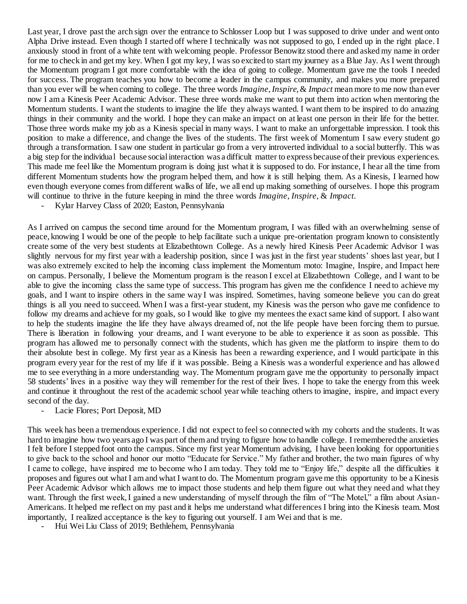Last year, I drove past the arch sign over the entrance to Schlosser Loop but I was supposed to drive under and went onto Alpha Drive instead. Even though I started off where I technically was not supposed to go, I ended up in the right place. I anxiously stood in front of a white tent with welcoming people. Professor Benowitz stood there and asked my name in order for me to check in and get my key. When I got my key, I was so excited to start my journey as a Blue Jay. As I went through the Momentum program I got more comfortable with the idea of going to college. Momentum gave me the tools I needed for success. The program teaches you how to become a leader in the campus community, and makes you more prepared than you ever will be when coming to college. The three words *Imagine*, *Inspire*, & *Impact* mean more to me now than ever now I am a Kinesis Peer Academic Advisor. These three words make me want to put them into action when mentoring the Momentum students. I want the students to imagine the life they always wanted. I want them to be inspired to do amazing things in their community and the world. I hope they can make an impact on at least one person in their life for the better. Those three words make my job as a Kinesis special in many ways. I want to make an unforgettable impression. I took this position to make a difference, and change the lives of the students. The first week of Momentum I saw every student go through a transformation. I saw one student in particular go from a very introverted individual to a social butterfly. This was a big step for the individual because social interaction was a difficult matter to express because of their previous experiences. This made me feel like the Momentum program is doing just what it is supposed to do. For instance, I hear all the time from different Momentum students how the program helped them, and how it is still helping them. As a Kinesis, I learned how even though everyone comes from different walks of life, we all end up making something of ourselves. I hope this program will continue to thrive in the future keeping in mind the three words *Imagine*, *Inspire*, & *Impact*.

- Kylar Harvey Class of 2020; Easton, Pennsylvania

As I arrived on campus the second time around for the Momentum program, I was filled with an overwhelming sense of peace, knowing I would be one of the people to help facilitate such a unique pre-orientation program known to consistently create some of the very best students at Elizabethtown College. As a newly hired Kinesis Peer Academic Advisor I was slightly nervous for my first year with a leadership position, since I was just in the first year students' shoes last year, but I was also extremely excited to help the incoming class implement the Momentum moto: Imagine, Inspire, and Impact here on campus. Personally, I believe the Momentum program is the reason I excel at Elizabethtown College, and I want to be able to give the incoming class the same type of success. This program has given me the confidence I need to achieve my goals, and I want to inspire others in the same way I was inspired. Sometimes, having someone believe you can do great things is all you need to succeed. When I was a first-year student, my Kinesis was the person who gave me confidence to follow my dreams and achieve for my goals, so I would like to give my mentees the exact same kind of support. I also want to help the students imagine the life they have always dreamed of, not the life people have been forcing them to pursue. There is liberation in following your dreams, and I want everyone to be able to experience it as soon as possible. This program has allowed me to personally connect with the students, which has given me the platform to inspire them to do their absolute best in college. My first year as a Kinesis has been a rewarding experience, and I would participate in this program every year for the rest of my life if it was possible. Being a Kinesis was a wonderful experience and has allowed me to see everything in a more understanding way. The Momentum program gave me the opportunity to personally impact 58 students' lives in a positive way they will remember for the rest of their lives. I hope to take the energy from this week and continue it throughout the rest of the academic school year while teaching others to imagine, inspire, and impact every second of the day.

- Lacie Flores; Port Deposit, MD

This week has been a tremendous experience. I did not expect to feel so connected with my cohorts and the students. It was hard to imagine how two years ago I was part of them and trying to figure how to handle college. I remembered the anxieties I felt before I stepped foot onto the campus. Since my first year Momentum advising, I have been looking for opportunities to give back to the school and honor our motto "Educate for Service." My father and brother, the two main figures of why I came to college, have inspired me to become who I am today. They told me to "Enjoy life," despite all the difficulties it proposes and figures out what I am and what I want to do. The Momentum program gave me this opportunity to be a Kinesis Peer Academic Advisor which allows me to impact those students and help them figure out what they need and what they want. Through the first week, I gained a new understanding of myself through the film of "The Motel," a film about Asian-Americans. It helped me reflect on my past and it helps me understand what differences I bring into the Kinesis team. Most importantly, I realized acceptance is the key to figuring out yourself. I am Wei and that is me.

- Hui Wei Liu Class of 2019; Bethlehem, Pennsylvania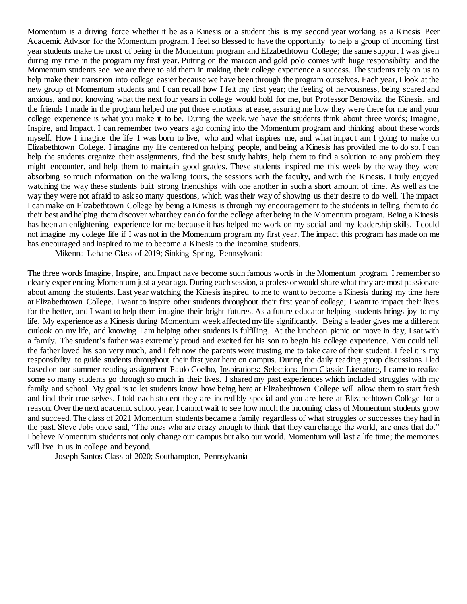Momentum is a driving force whether it be as a Kinesis or a student this is my second year working as a Kinesis Peer Academic Advisor for the Momentum program. I feel so blessed to have the opportunity to help a group of incoming first year students make the most of being in the Momentum program and Elizabethtown College; the same support I was given during my time in the program my first year. Putting on the maroon and gold polo comes with huge responsibility and the Momentum students see we are there to aid them in making their college experience a success. The students rely on us to help make their transition into college easier because we have been through the program ourselves. Each year, I look at the new group of Momentum students and I can recall how I felt my first year; the feeling of nervousness, being scared and anxious, and not knowing what the next four years in college would hold for me, but Professor Benowitz, the Kinesis, and the friends I made in the program helped me put those emotions at ease, assuring me how they were there for me and your college experience is what you make it to be. During the week, we have the students think about three words; Imagine, Inspire, and Impact. I can remember two years ago coming into the Momentum program and thinking about these words myself. How I imagine the life I was born to live, who and what inspires me, and what impact am I going to make on Elizabethtown College. I imagine my life centered on helping people, and being a Kinesis has provided me to do so. I can help the students organize their assignments, find the best study habits, help them to find a solution to any problem they might encounter, and help them to maintain good grades. These students inspired me this week by the way they were absorbing so much information on the walking tours, the sessions with the faculty, and with the Kinesis. I truly enjoyed watching the way these students built strong friendships with one another in such a short amount of time. As well as the way they were not afraid to ask so many questions, which was their way of showing us their desire to do well. The impact I can make on Elizabethtown College by being a Kinesis is through my encouragement to the students in telling them to do their best and helping them discover what they can do for the college after being in the Momentum program. Being a Kinesis has been an enlightening experience for me because it has helped me work on my social and my leadership skills. I could not imagine my college life if I was not in the Momentum program my first year. The impact this program has made on me has encouraged and inspired to me to become a Kinesis to the incoming students.

Mikenna Lehane Class of 2019; Sinking Spring, Pennsylvania

The three words Imagine, Inspire, and Impact have become such famous words in the Momentum program. I remember so clearly experiencing Momentum just a year ago. During each session, a professor would share what they are most passionate about among the students. Last year watching the Kinesis inspired to me to want to become a Kinesis during my time here at Elizabethtown College. I want to inspire other students throughout their first year of college; I want to impact their lives for the better, and I want to help them imagine their bright futures. As a future educator helping students brings joy to my life. My experience as a Kinesis during Momentum week affected my life significantly. Being a leader gives me a different outlook on my life, and knowing I am helping other students is fulfilling. At the luncheon picnic on move in day, I sat with a family. The student's father was extremely proud and excited for his son to begin his college experience. You could tell the father loved his son very much, and I felt now the parents were trusting me to take care of their student. I feel it is my responsibility to guide students throughout their first year here on campus. During the daily reading group discussions I led based on our summer reading assignment Paulo Coelho, Inspirations: Selections from Classic Literature, I came to realize some so many students go through so much in their lives. I shared my past experiences which included struggles with my family and school. My goal is to let students know how being here at Elizabethtown College will allow them to start fresh and find their true selves. I told each student they are incredibly special and you are here at Elizabethtown College for a reason. Over the next academic school year, I cannot wait to see how much the incoming class of Momentum students grow and succeed. The class of 2021 Momentum students became a family regardless of what struggles or successes they had in the past. Steve Jobs once said, "The ones who are crazy enough to think that they can change the world, are ones that do." I believe Momentum students not only change our campus but also our world. Momentum will last a life time; the memories will live in us in college and beyond.

Joseph Santos Class of 2020; Southampton, Pennsylvania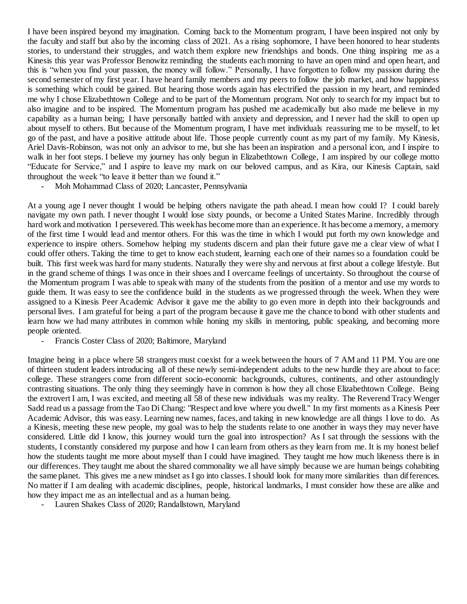I have been inspired beyond my imagination. Coming back to the Momentum program, I have been inspired not only by the faculty and staff but also by the incoming class of 2021. As a rising sophomore, I have been honored to hear students stories, to understand their struggles, and watch them explore new friendships and bonds. One thing inspiring me as a Kinesis this year was Professor Benowitz reminding the students each morning to have an open mind and open heart, and this is "when you find your passion, the money will follow." Personally, I have forgotten to follow my passion during the second semester of my first year. I have heard family members and my peers to follow the job market, and how happiness is something which could be gained. But hearing those words again has electrified the passion in my heart, and reminded me why I chose Elizabethtown College and to be part of the Momentum program. Not only to search for my impact but to also imagine and to be inspired. The Momentum program has pushed me academically but also made me believe in my capability as a human being; I have personally battled with anxiety and depression, and I never had the skill to open up about myself to others. But because of the Momentum program, I have met individuals reassuring me to be myself, to let go of the past, and have a positive attitude about life. Those people currently count as my part of my family. My Kinesis, Ariel Davis-Robinson, was not only an advisor to me, but she has been an inspiration and a personal icon, and I inspire to walk in her foot steps. I believe my journey has only begun in Elizabethtown College, I am inspired by our college motto "Educate for Service," and I aspire to leave my mark on our beloved campus, and as Kira, our Kinesis Captain, said throughout the week "to leave it better than we found it."

Moh Mohammad Class of 2020; Lancaster, Pennsylvania

At a young age I never thought I would be helping others navigate the path ahead. I mean how could I? I could barely navigate my own path. I never thought I would lose sixty pounds, or become a United States Marine. Incredibly through hard work and motivation I persevered. This week has become more than an experience. It has become a memory, a memory of the first time I would lead and mentor others. For this was the time in which I would put forth my own knowledge and experience to inspire others. Somehow helping my students discern and plan their future gave me a clear view of what I could offer others. Taking the time to get to know each student, learning each one of their names so a foundation could be built. This first week was hard for many students. Naturally they were shy and nervous at first about a college lifestyle. But in the grand scheme of things I was once in their shoes and I overcame feelings of uncertainty. So throughout the course of the Momentum program I was able to speak with many of the students from the position of a mentor and use my words to guide them. It was easy to see the confidence build in the students as we progressed through the week. When they were assigned to a Kinesis Peer Academic Advisor it gave me the ability to go even more in depth into their backgrounds and personal lives. I am grateful for being a part of the program because it gave me the chance to bond with other students and learn how we had many attributes in common while honing my skills in mentoring, public speaking, and becoming more people oriented.

Francis Coster Class of 2020; Baltimore, Maryland

Imagine being in a place where 58 strangers must coexist for a week between the hours of 7 AM and 11 PM. You are one of thirteen student leaders introducing all of these newly semi-independent adults to the new hurdle they are about to face: college. These strangers come from different socio-economic backgrounds, cultures, continents, and other astoundingly contrasting situations. The only thing they seemingly have in common is how they all chose Elizabethtown College. Being the extrovert I am, I was excited, and meeting all 58 of these new individuals was my reality. The Reverend Tracy Wenger Sadd read us a passage from the Tao Di Chang: "Respect and love where you dwell." In my first moments as a Kinesis Peer Academic Advisor, this was easy. Learning new names, faces, and taking in new knowledge are all things I love to do. As a Kinesis, meeting these new people, my goal was to help the students relate to one another in ways they may never have considered. Little did I know, this journey would turn the goal into introspection? As I sat through the sessions with the students, I constantly considered my purpose and how I can learn from others as they learn from me. It is my honest belief how the students taught me more about myself than I could have imagined. They taught me how much likeness there is in our differences. They taught me about the shared commonality we all have simply because we are human beings cohabiting the same planet. This gives me a new mindset as I go into classes. I should look for many more similarities than differences. No matter if I am dealing with academic disciplines, people, historical landmarks, I must consider how these are alike and how they impact me as an intellectual and as a human being.

Lauren Shakes Class of 2020; Randallstown, Maryland